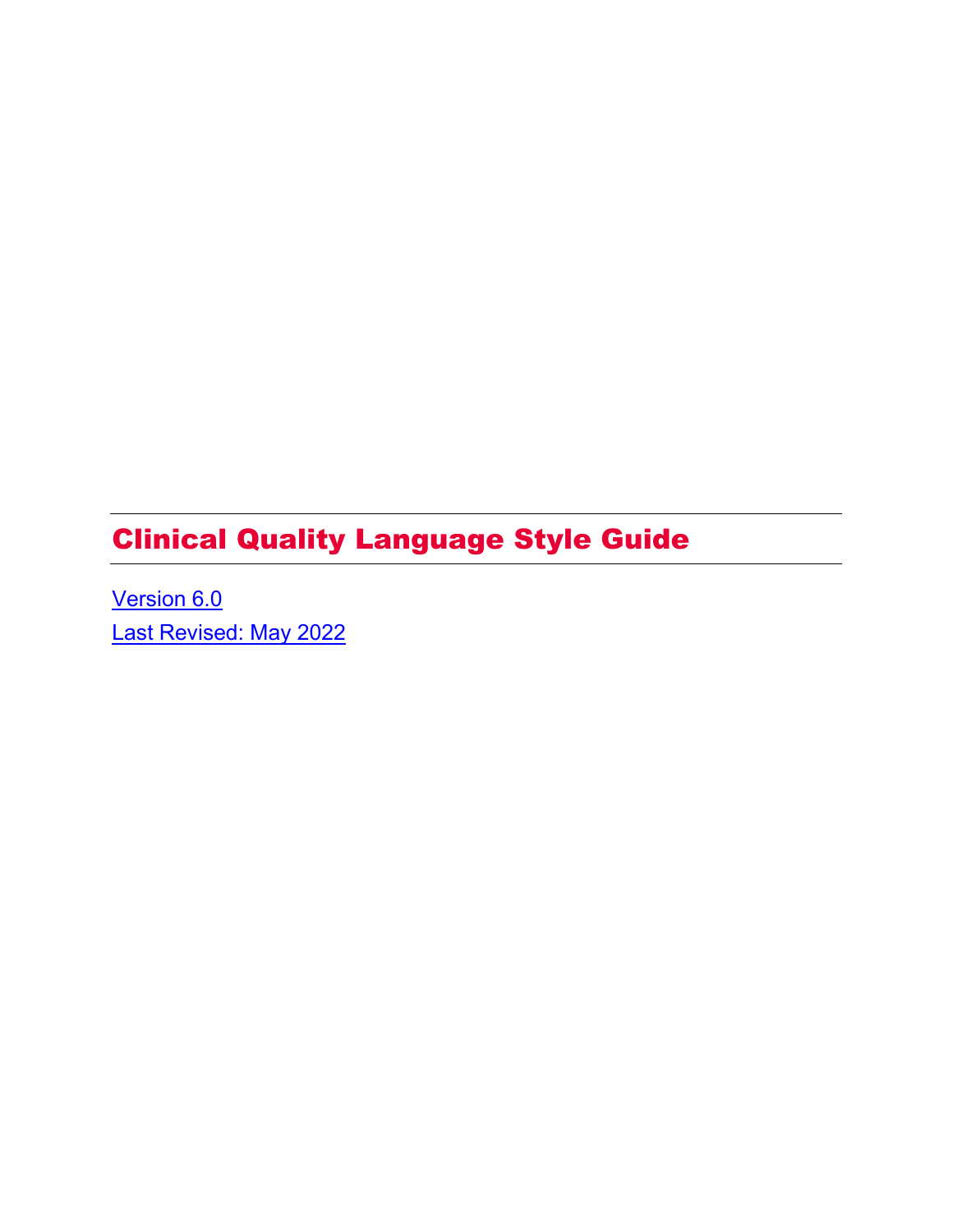# Clinical Quality Language Style Guide

[Version 6.0](#page-24-0)  [Last Revised: May 2022](#page-24-0)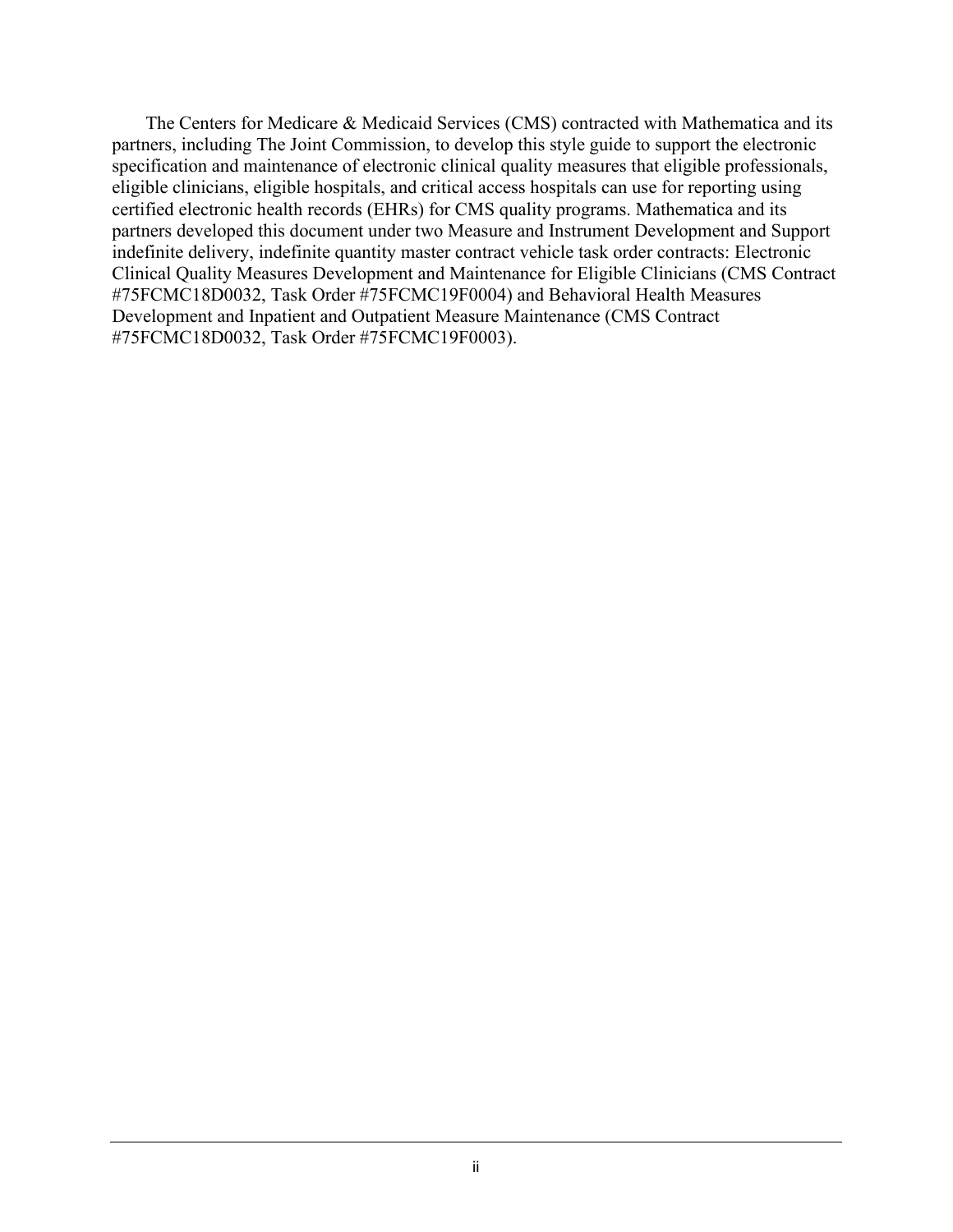The Centers for Medicare & Medicaid Services (CMS) contracted with Mathematica and its partners, including The Joint Commission, to develop this style guide to support the electronic specification and maintenance of electronic clinical quality measures that eligible professionals, eligible clinicians, eligible hospitals, and critical access hospitals can use for reporting using certified electronic health records (EHRs) for CMS quality programs. Mathematica and its partners developed this document under two Measure and Instrument Development and Support indefinite delivery, indefinite quantity master contract vehicle task order contracts: Electronic Clinical Quality Measures Development and Maintenance for Eligible Clinicians (CMS Contract #75FCMC18D0032, Task Order #75FCMC19F0004) and Behavioral Health Measures Development and Inpatient and Outpatient Measure Maintenance (CMS Contract #75FCMC18D0032, Task Order #75FCMC19F0003).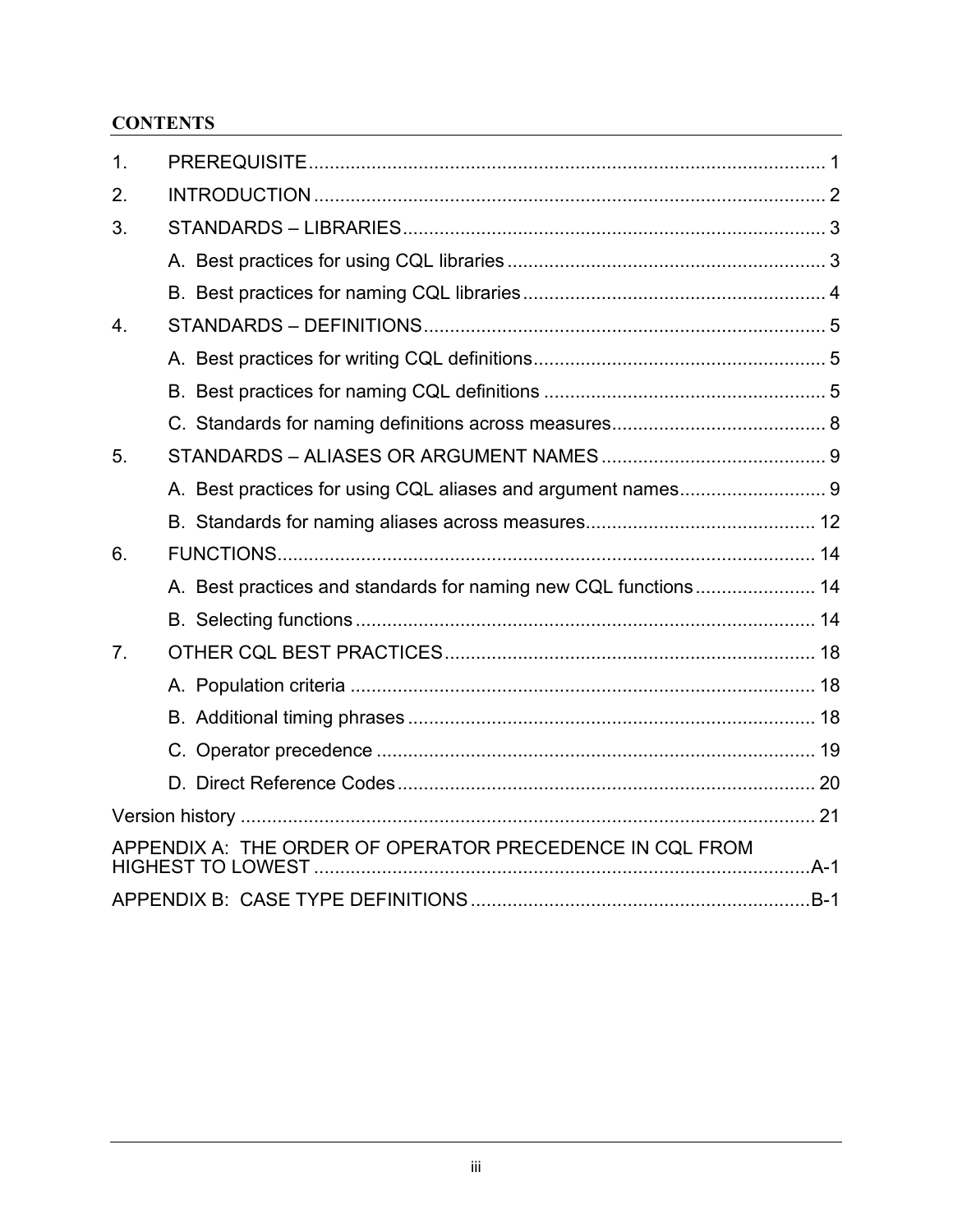# **CONTENTS**

| 1.               |                                                                 |  |
|------------------|-----------------------------------------------------------------|--|
| 2.               |                                                                 |  |
| 3.               |                                                                 |  |
|                  |                                                                 |  |
|                  |                                                                 |  |
| $\overline{4}$ . |                                                                 |  |
|                  |                                                                 |  |
|                  |                                                                 |  |
|                  |                                                                 |  |
| 5.               |                                                                 |  |
|                  |                                                                 |  |
|                  |                                                                 |  |
| 6.               |                                                                 |  |
|                  | A. Best practices and standards for naming new CQL functions 14 |  |
|                  |                                                                 |  |
| 7 <sub>1</sub>   |                                                                 |  |
|                  |                                                                 |  |
|                  |                                                                 |  |
|                  |                                                                 |  |
|                  |                                                                 |  |
|                  |                                                                 |  |
|                  | APPENDIX A: THE ORDER OF OPERATOR PRECEDENCE IN CQL FROM        |  |
|                  |                                                                 |  |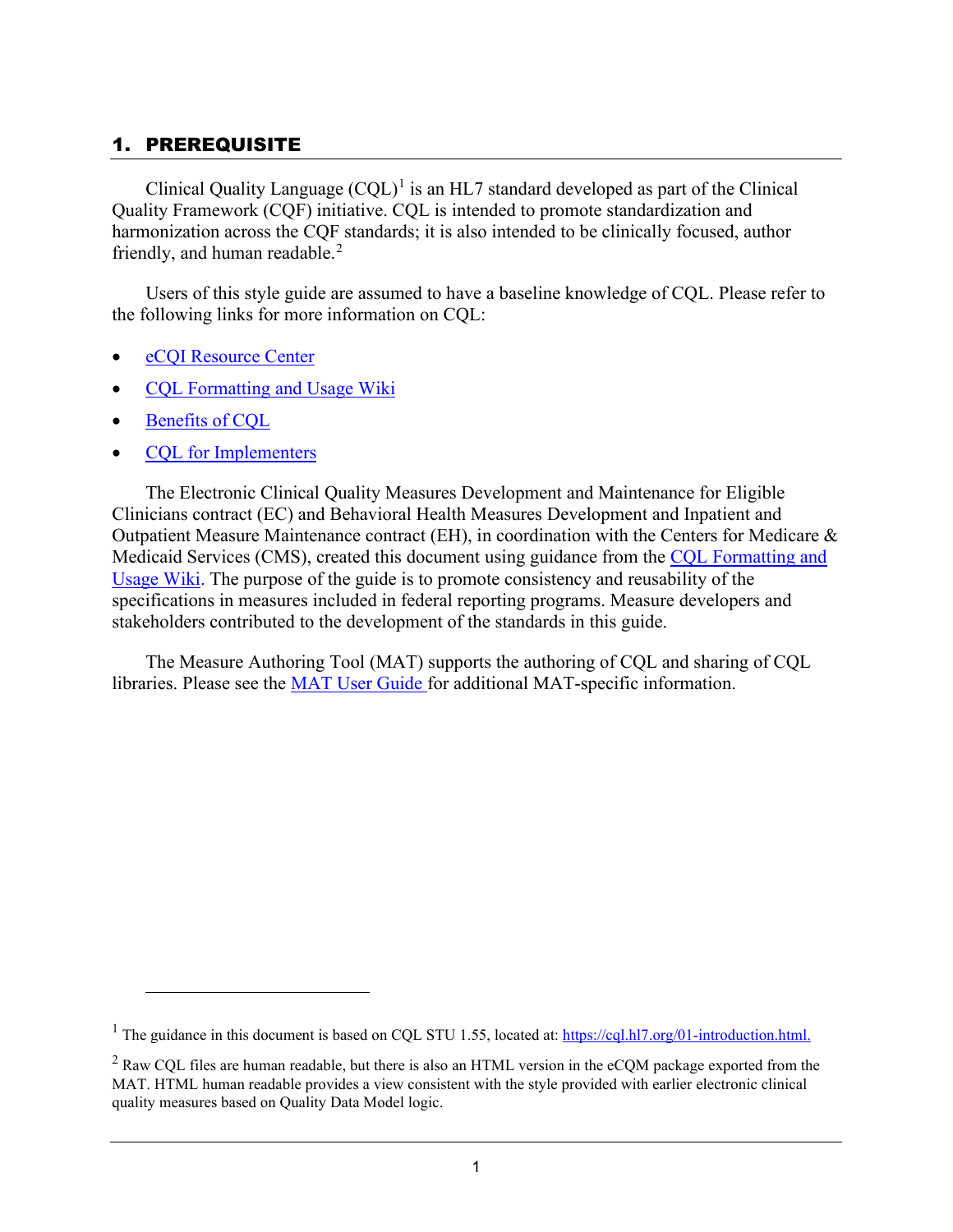# <span id="page-4-0"></span>1. PREREQUISITE

Clinical Quality Language  $(CQL)^{1}$  $(CQL)^{1}$  $(CQL)^{1}$  is an HL7 standard developed as part of the Clinical Quality Framework (CQF) initiative. CQL is intended to promote standardization and harmonization across the CQF standards; it is also intended to be clinically focused, author friendly, and human readable.<sup>[2](#page-4-2)</sup>

Users of this style guide are assumed to have a baseline knowledge of CQL. Please refer to the following links for more information on CQL:

- [eCQI Resource Center](https://ecqi.healthit.gov/cql)
- COL Formatting and Usage Wiki
- [Benefits of CQL](https://ecqi.healthit.gov/system/files/Benefits_of_CQL_Updated_1.15.2018_508.pdf)
- [CQL for Implementers](https://ecqi.healthit.gov/system/files/Clinical_Quality_Language_Training_for_Measure_Implementers_Updated_12.8.2017v2_508.pdf)

The Electronic Clinical Quality Measures Development and Maintenance for Eligible Clinicians contract (EC) and Behavioral Health Measures Development and Inpatient and Outpatient Measure Maintenance contract (EH), in coordination with the Centers for Medicare & Medicaid Services (CMS), created this document using guidance from the [CQL Formatting and](https://github.com/cqframework/CQL-Formatting-and-Usage-Wiki/wiki/Formatting-and-Usage-Topics)  [Usage Wiki.](https://github.com/cqframework/CQL-Formatting-and-Usage-Wiki/wiki/Formatting-and-Usage-Topics) The purpose of the guide is to promote consistency and reusability of the specifications in measures included in federal reporting programs. Measure developers and stakeholders contributed to the development of the standards in this guide.

The Measure Authoring Tool (MAT) supports the authoring of CQL and sharing of CQL libraries. Please see the [MAT User Guide](https://www.emeasuretool.cms.gov/training-resources/user-guide) for additional MAT-specific information.

<span id="page-4-1"></span><sup>&</sup>lt;sup>1</sup> The guidance in this document is based on COL STU 1.55, located at[: https://cql.hl7.org/01-introduction.html.](https://cql.hl7.org/01-introduction.html)

<span id="page-4-2"></span> $2$  Raw CQL files are human readable, but there is also an HTML version in the eCQM package exported from the MAT. HTML human readable provides a view consistent with the style provided with earlier electronic clinical quality measures based on Quality Data Model logic.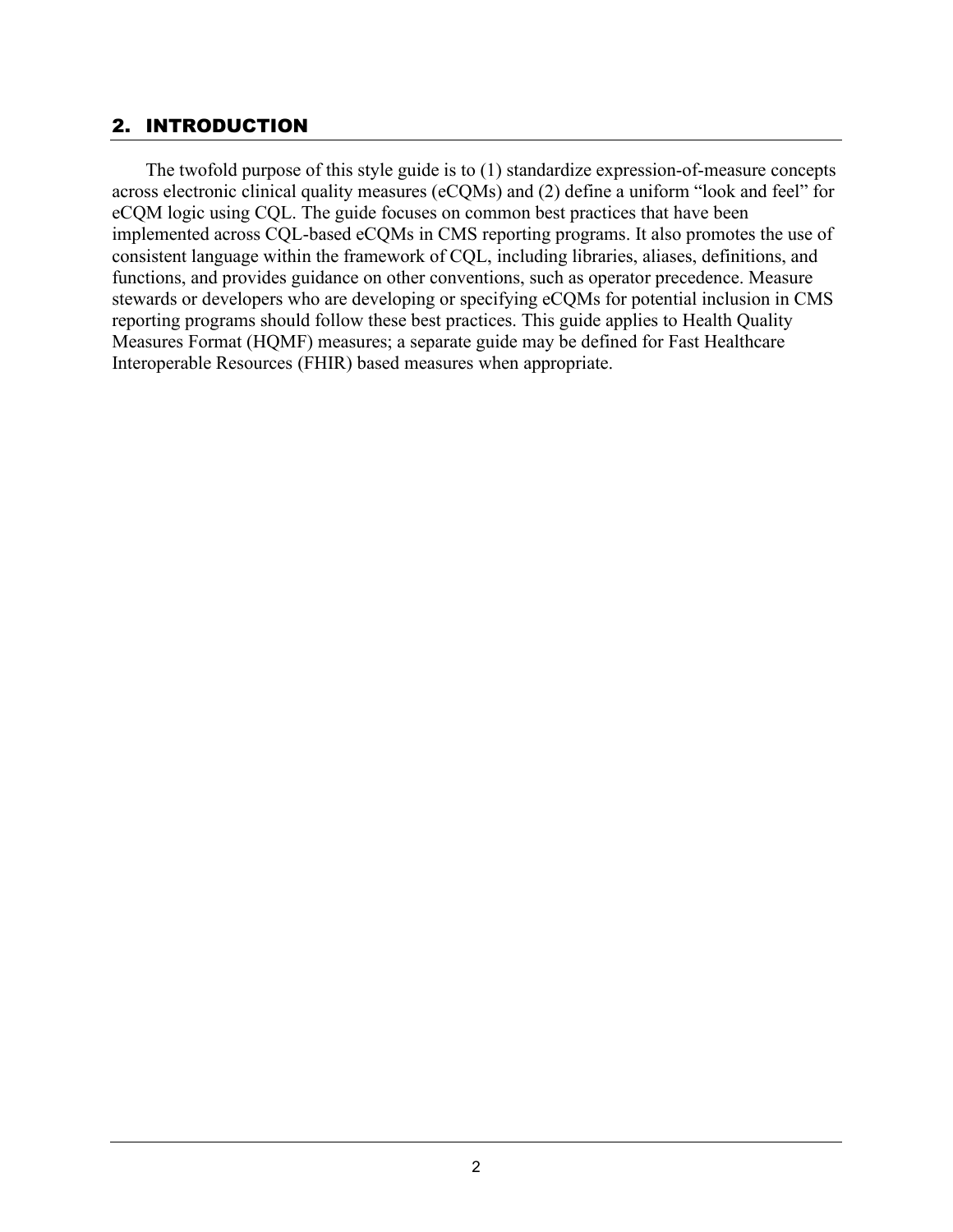## <span id="page-5-0"></span>2. INTRODUCTION

The twofold purpose of this style guide is to (1) standardize expression-of-measure concepts across electronic clinical quality measures (eCQMs) and (2) define a uniform "look and feel" for eCQM logic using CQL. The guide focuses on common best practices that have been implemented across CQL-based eCQMs in CMS reporting programs. It also promotes the use of consistent language within the framework of CQL, including libraries, aliases, definitions, and functions, and provides guidance on other conventions, such as operator precedence. Measure stewards or developers who are developing or specifying eCQMs for potential inclusion in CMS reporting programs should follow these best practices. This guide applies to Health Quality Measures Format (HQMF) measures; a separate guide may be defined for Fast Healthcare Interoperable Resources (FHIR) based measures when appropriate.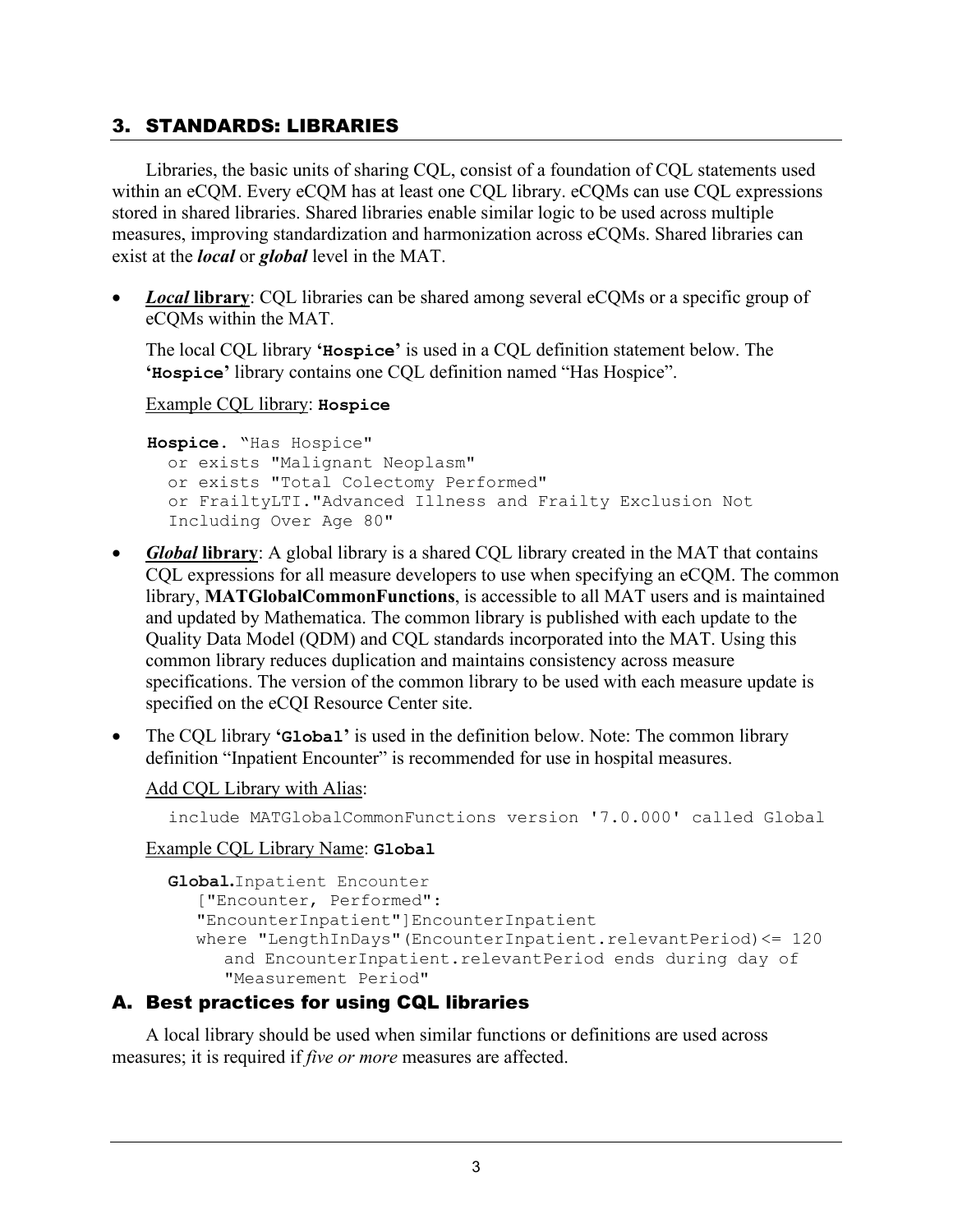## <span id="page-6-0"></span>3. STANDARDS: LIBRARIES

Libraries, the basic units of sharing CQL, consist of a foundation of CQL statements used within an eCQM. Every eCQM has at least one CQL library. eCQMs can use CQL expressions stored in shared libraries. Shared libraries enable similar logic to be used across multiple measures, improving standardization and harmonization across eCQMs. Shared libraries can exist at the *local* or *global* level in the MAT.

*Local* library: CQL libraries can be shared among several eCQMs or a specific group of eCQMs within the MAT.

The local CQL library **'Hospice'** is used in a CQL definition statement below. The **'Hospice'** library contains one CQL definition named "Has Hospice".

#### Example CQL library: **Hospice**

```
Hospice. "Has Hospice"
   or exists "Malignant Neoplasm"
   or exists "Total Colectomy Performed"
  or FrailtyLTI."Advanced Illness and Frailty Exclusion Not 
  Including Over Age 80"
```
- *Global* **library**: A global library is a shared CQL library created in the MAT that contains CQL expressions for all measure developers to use when specifying an eCQM. The common library, **MATGlobalCommonFunctions**, is accessible to all MAT users and is maintained and updated by Mathematica. The common library is published with each update to the Quality Data Model (QDM) and CQL standards incorporated into the MAT. Using this common library reduces duplication and maintains consistency across measure specifications. The version of the common library to be used with each measure update is specified on the eCQI Resource Center site.
- The CQL library **'Global'** is used in the definition below. Note: The common library definition "Inpatient Encounter" is recommended for use in hospital measures.

#### Add CQL Library with Alias:

include MATGlobalCommonFunctions version '7.0.000' called Global

#### Example CQL Library Name: **Global**

```
Global.Inpatient Encounter
   ["Encounter, Performed": 
  "EncounterInpatient"]EncounterInpatient
  where "LengthInDays"(EncounterInpatient.relevantPeriod)<= 120
     and EncounterInpatient.relevantPeriod ends during day of 
     "Measurement Period"
```
#### <span id="page-6-1"></span>A. Best practices for using CQL libraries

A local library should be used when similar functions or definitions are used across measures; it is required if *five or more* measures are affected.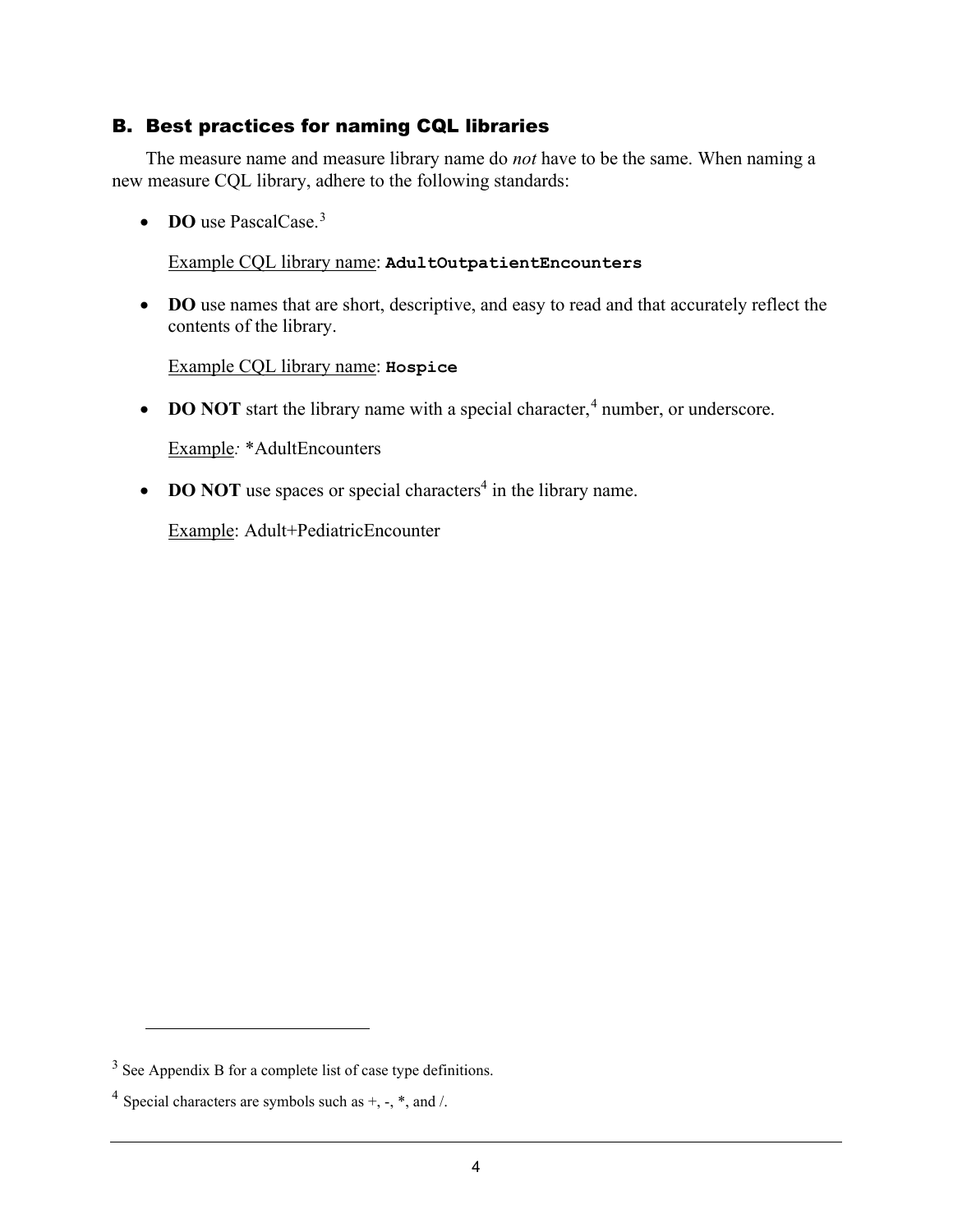## <span id="page-7-0"></span>B. Best practices for naming CQL libraries

The measure name and measure library name do *not* have to be the same. When naming a new measure CQL library, adhere to the following standards:

• **DO** use PascalCase.<sup>[3](#page-7-1)</sup>

## Example CQL library name: **AdultOutpatientEncounters**

• **DO** use names that are short, descriptive, and easy to read and that accurately reflect the contents of the library.

#### Example CQL library name: **Hospice**

• **DO NOT** start the library name with a special character,<sup>[4](#page-7-2)</sup> number, or underscore.

Example*:* \*AdultEncounters

• **DO NOT** use spaces or special characters<sup>4</sup> in the library name.

Example: Adult+PediatricEncounter

<span id="page-7-1"></span><sup>&</sup>lt;sup>3</sup> See Appendix B for a complete list of case type definitions.

<span id="page-7-2"></span><sup>&</sup>lt;sup>4</sup> Special characters are symbols such as  $+$ ,  $-$ ,  $*$ , and  $\Lambda$ .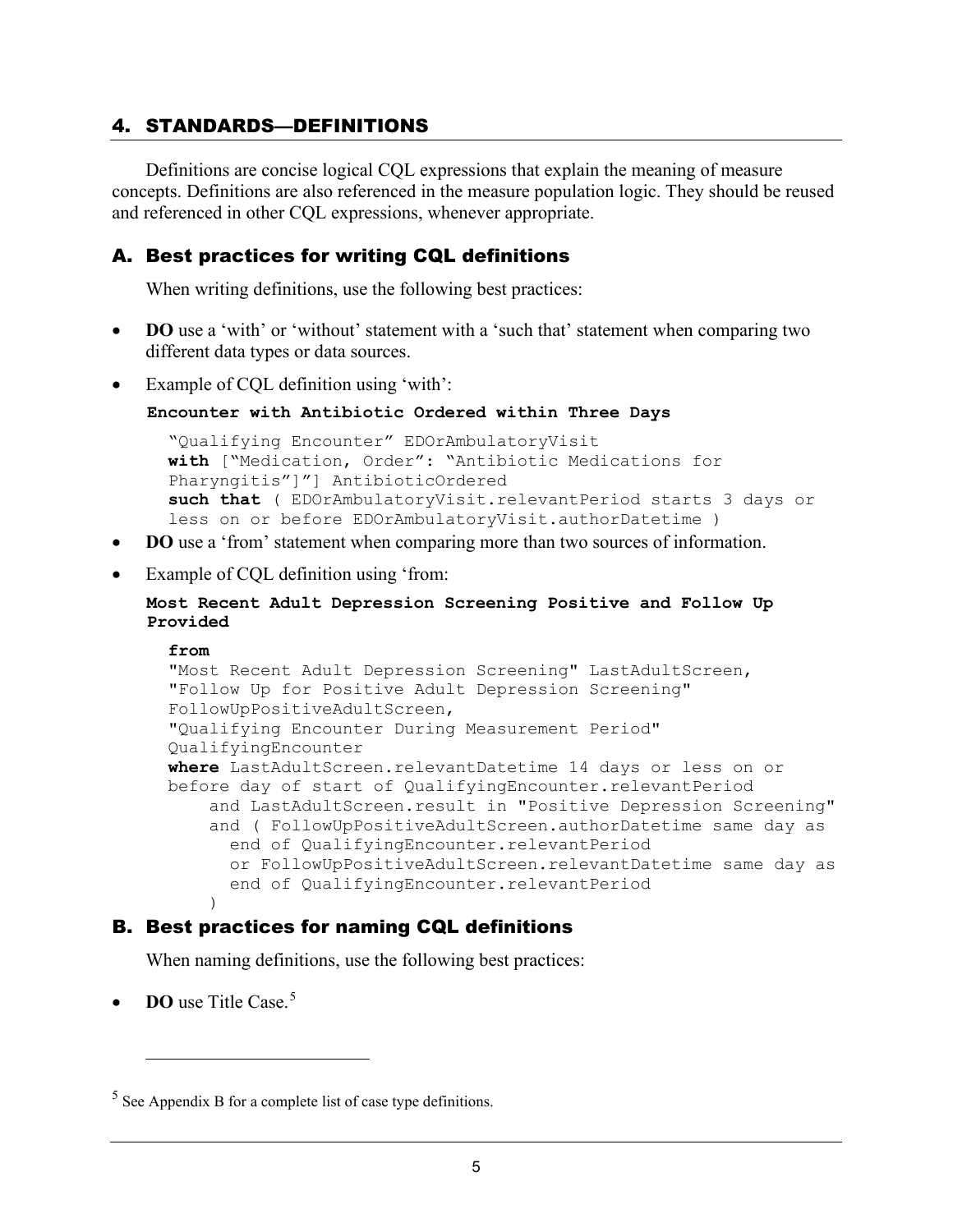## <span id="page-8-0"></span>4. STANDARDS—DEFINITIONS

Definitions are concise logical CQL expressions that explain the meaning of measure concepts. Definitions are also referenced in the measure population logic. They should be reused and referenced in other CQL expressions, whenever appropriate.

## <span id="page-8-1"></span>A. Best practices for writing CQL definitions

When writing definitions, use the following best practices:

- **DO** use a 'with' or 'without' statement with a 'such that' statement when comparing two different data types or data sources.
- Example of CQL definition using 'with':

```
Encounter with Antibiotic Ordered within Three Days
```

```
"Qualifying Encounter" EDOrAmbulatoryVisit
with ["Medication, Order": "Antibiotic Medications for 
Pharyngitis"]"] AntibioticOrdered 
such that ( EDOrAmbulatoryVisit.relevantPeriod starts 3 days or 
less on or before EDOrAmbulatoryVisit.authorDatetime )
```
- **DO** use a 'from' statement when comparing more than two sources of information.
- Example of CQL definition using 'from:

**Most Recent Adult Depression Screening Positive and Follow Up Provided**

#### **from**

```
"Most Recent Adult Depression Screening" LastAdultScreen,
"Follow Up for Positive Adult Depression Screening" 
FollowUpPositiveAdultScreen,
"Qualifying Encounter During Measurement Period" 
QualifyingEncounter
where LastAdultScreen.relevantDatetime 14 days or less on or 
before day of start of QualifyingEncounter.relevantPeriod
     and LastAdultScreen.result in "Positive Depression Screening"
     and ( FollowUpPositiveAdultScreen.authorDatetime same day as 
       end of QualifyingEncounter.relevantPeriod
       or FollowUpPositiveAdultScreen.relevantDatetime same day as 
    end of QualifyingEncounter.relevantPeriod
\overline{\phantom{a}}
```
## <span id="page-8-2"></span>B. Best practices for naming CQL definitions

When naming definitions, use the following best practices:

**DO** use Title Case.<sup>[5](#page-8-3)</sup>

<span id="page-8-3"></span> $<sup>5</sup>$  See Appendix B for a complete list of case type definitions.</sup>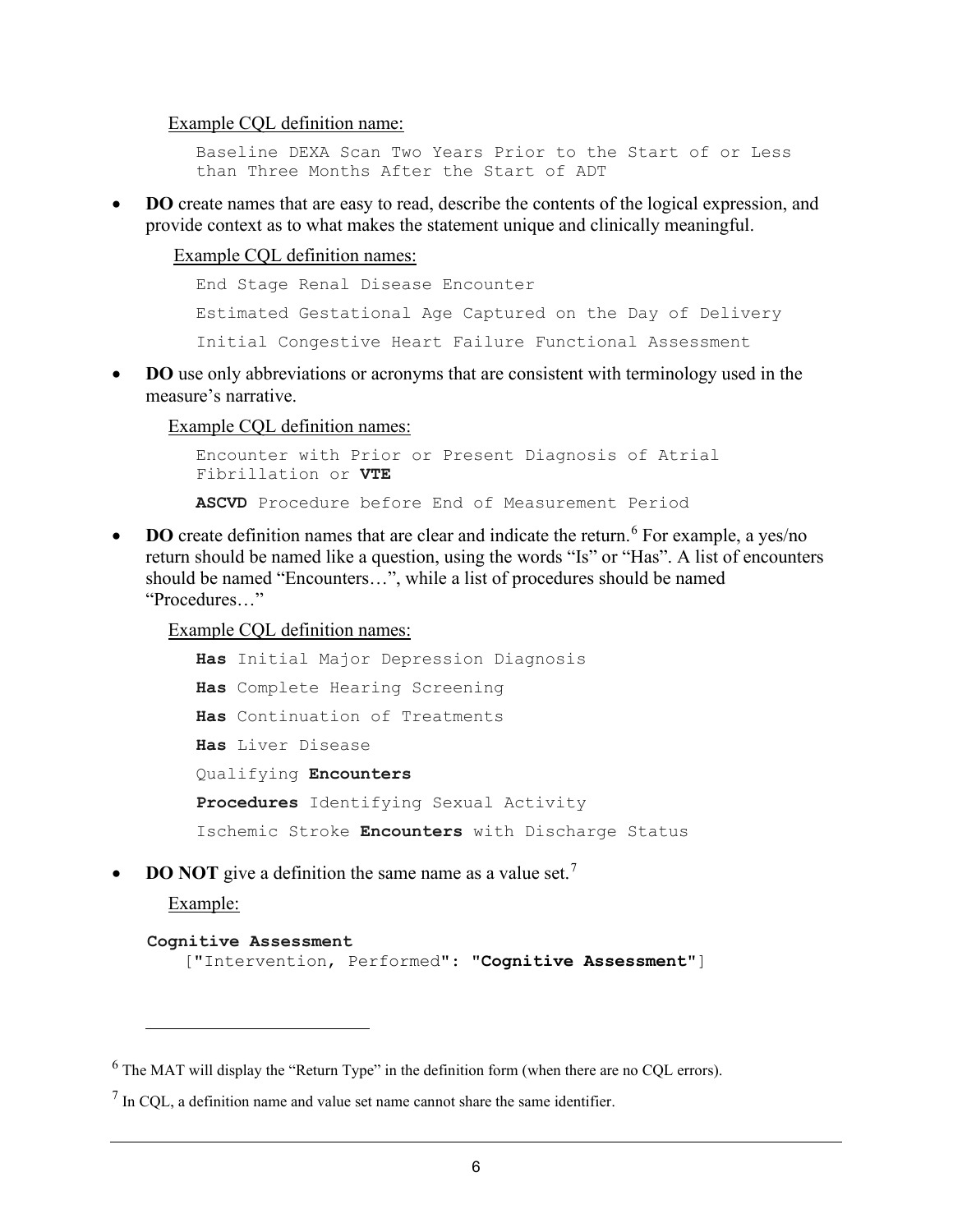Example CQL definition name:

Baseline DEXA Scan Two Years Prior to the Start of or Less than Three Months After the Start of ADT

• **DO** create names that are easy to read, describe the contents of the logical expression, and provide context as to what makes the statement unique and clinically meaningful.

Example CQL definition names:

End Stage Renal Disease Encounter Estimated Gestational Age Captured on the Day of Delivery Initial Congestive Heart Failure Functional Assessment

• **DO** use only abbreviations or acronyms that are consistent with terminology used in the measure's narrative.

Example CQL definition names:

Encounter with Prior or Present Diagnosis of Atrial Fibrillation or **VTE ASCVD** Procedure before End of Measurement Period

• **DO** create definition names that are clear and indicate the return.<sup>[6](#page-9-0)</sup> For example, a yes/no return should be named like a question, using the words "Is" or "Has". A list of encounters should be named "Encounters…", while a list of procedures should be named "Procedures…"

Example CQL definition names:

```
Has Initial Major Depression Diagnosis
Has Complete Hearing Screening
Has Continuation of Treatments
Has Liver Disease
Qualifying Encounters
Procedures Identifying Sexual Activity
Ischemic Stroke Encounters with Discharge Status
```
**DO NOT** give a definition the same name as a value set.<sup>[7](#page-9-1)</sup>

Example:

```
Cognitive Assessment
```

```
["Intervention, Performed": "Cognitive Assessment"]
```
<span id="page-9-0"></span> $6$  The MAT will display the "Return Type" in the definition form (when there are no CQL errors).

<span id="page-9-1"></span> $<sup>7</sup>$  In COL, a definition name and value set name cannot share the same identifier.</sup>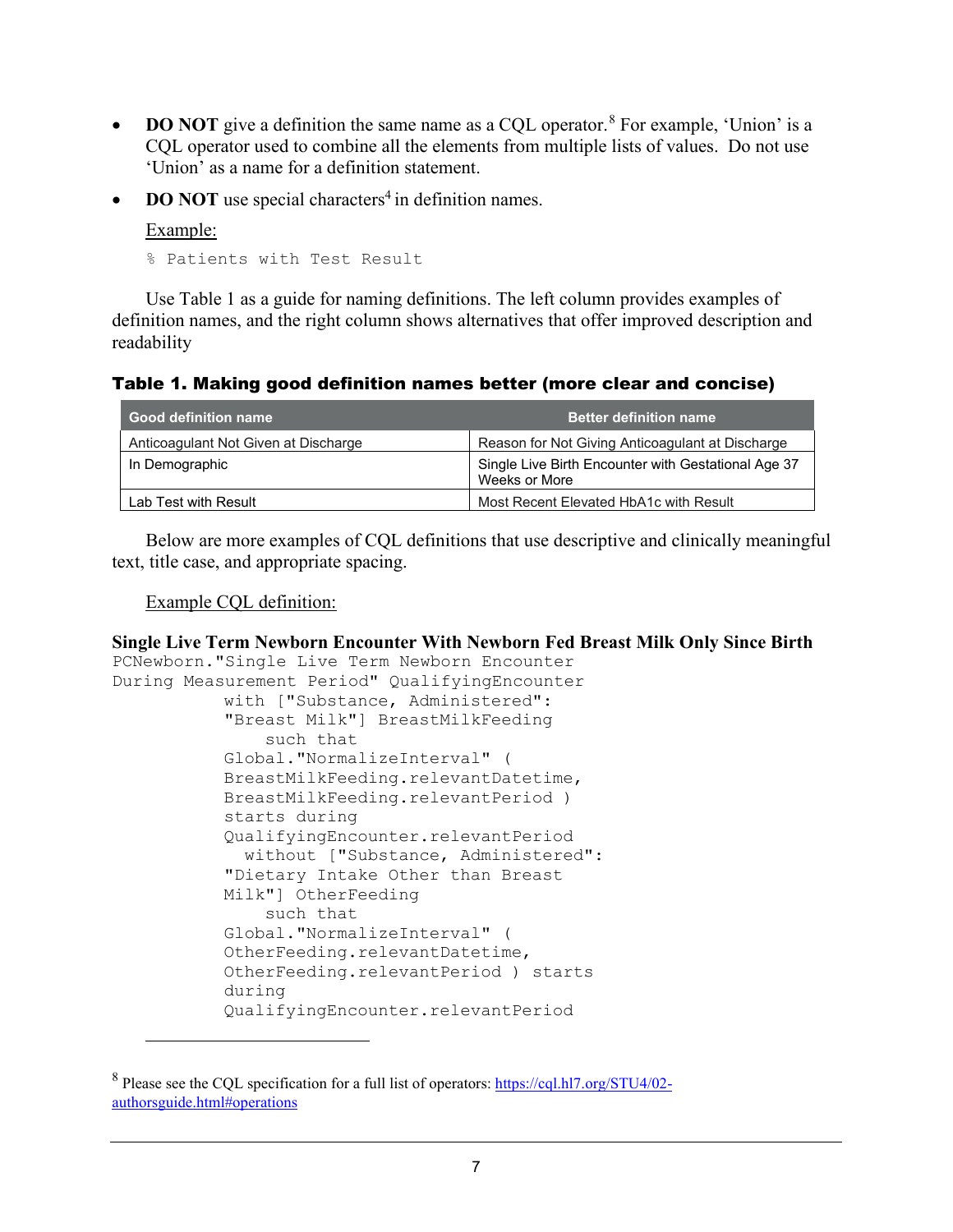- **DO NOT** give a definition the same name as a CQL operator.<sup>[8](#page-10-0)</sup> For example, 'Union' is a CQL operator used to combine all the elements from multiple lists of values. Do not use 'Union' as a name for a definition statement.
- **DO NOT** use special characters<sup>4</sup> in definition names.

Example:

% Patients with Test Result

Use Table 1 as a guide for naming definitions. The left column provides examples of definition names, and the right column shows alternatives that offer improved description and readability

Table 1. Making good definition names better (more clear and concise)

| <b>Good definition name</b>          | <b>Better definition name</b>                                        |
|--------------------------------------|----------------------------------------------------------------------|
| Anticoagulant Not Given at Discharge | Reason for Not Giving Anticoagulant at Discharge                     |
| In Demographic                       | Single Live Birth Encounter with Gestational Age 37<br>Weeks or More |
| Lab Test with Result                 | Most Recent Elevated HbA1c with Result                               |

Below are more examples of CQL definitions that use descriptive and clinically meaningful text, title case, and appropriate spacing.

#### Example CQL definition:

#### **Single Live Term Newborn Encounter With Newborn Fed Breast Milk Only Since Birth**

```
PCNewborn."Single Live Term Newborn Encounter
During Measurement Period" QualifyingEncounter
           with ["Substance, Administered": 
           "Breast Milk"] BreastMilkFeeding
                such that 
           Global."NormalizeInterval" ( 
           BreastMilkFeeding.relevantDatetime, 
           BreastMilkFeeding.relevantPeriod ) 
           starts during 
           QualifyingEncounter.relevantPeriod
              without ["Substance, Administered": 
           "Dietary Intake Other than Breast 
           Milk"] OtherFeeding
                such that 
           Global."NormalizeInterval" ( 
           OtherFeeding.relevantDatetime,
           OtherFeeding.relevantPeriod ) starts 
           during 
           QualifyingEncounter.relevantPeriod
```
<span id="page-10-0"></span><sup>8</sup> Please see the CQL specification for a full list of operators: [https://cql.hl7.org/STU4/02](https://cql.hl7.org/STU4/02-authorsguide.html#operations) [authorsguide.html#operations](https://cql.hl7.org/STU4/02-authorsguide.html#operations)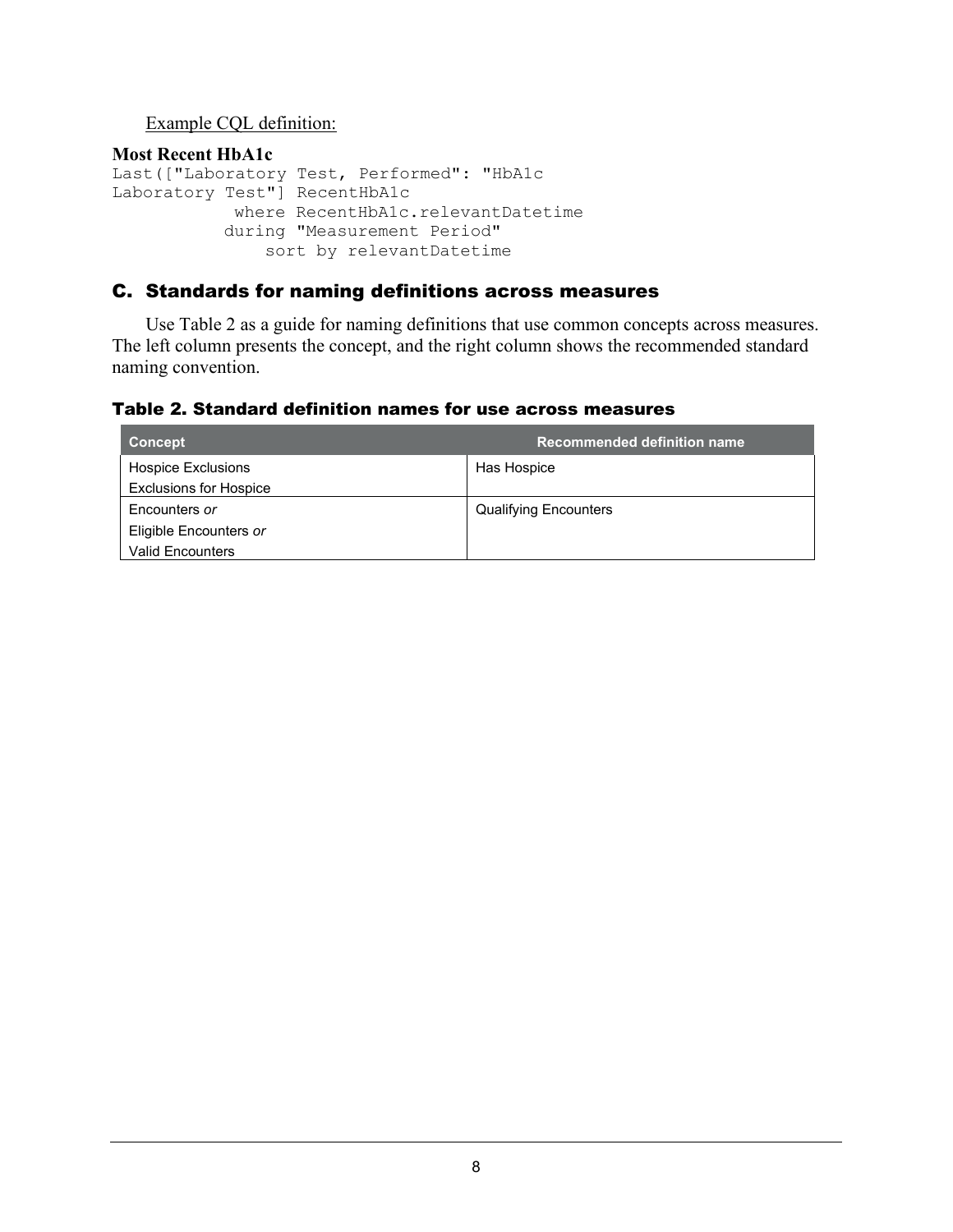## Example CQL definition:

```
Most Recent HbA1c
Last(["Laboratory Test, Performed": "HbA1c 
Laboratory Test"] RecentHbA1c
            where RecentHbA1c.relevantDatetime 
           during "Measurement Period"
                sort by relevantDatetime
```
## <span id="page-11-0"></span>C. Standards for naming definitions across measures

Use Table 2 as a guide for naming definitions that use common concepts across measures. The left column presents the concept, and the right column shows the recommended standard naming convention.

#### Table 2. Standard definition names for use across measures

| <b>Concept</b>                | Recommended definition name  |
|-------------------------------|------------------------------|
| Hospice Exclusions            | Has Hospice                  |
| <b>Exclusions for Hospice</b> |                              |
| Encounters or                 | <b>Qualifying Encounters</b> |
| Eligible Encounters or        |                              |
| <b>Valid Encounters</b>       |                              |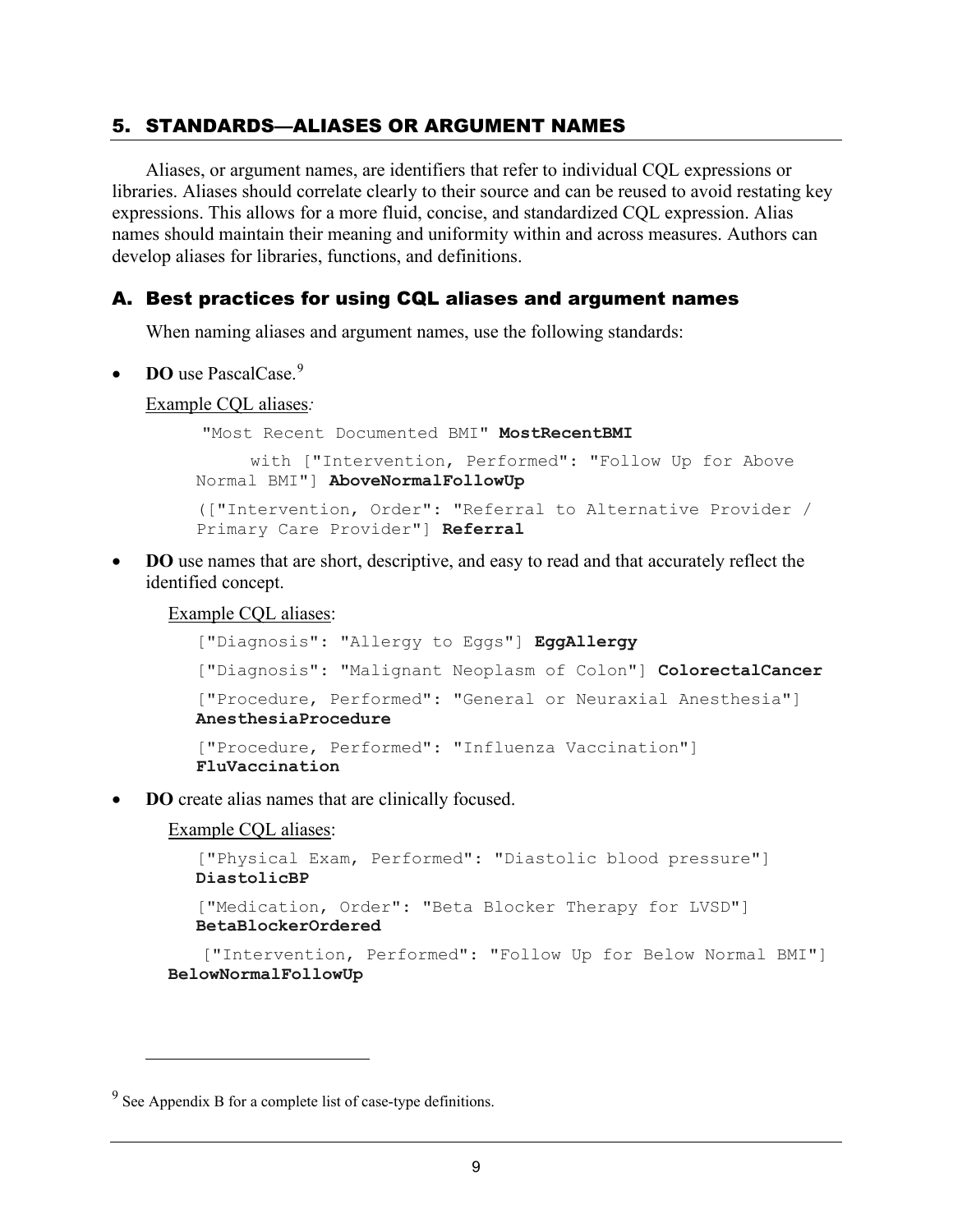## <span id="page-12-0"></span>5. STANDARDS—ALIASES OR ARGUMENT NAMES

Aliases, or argument names, are identifiers that refer to individual CQL expressions or libraries. Aliases should correlate clearly to their source and can be reused to avoid restating key expressions. This allows for a more fluid, concise, and standardized CQL expression. Alias names should maintain their meaning and uniformity within and across measures. Authors can develop aliases for libraries, functions, and definitions.

## <span id="page-12-1"></span>A. Best practices for using CQL aliases and argument names

When naming aliases and argument names, use the following standards:

• **DO** use PascalCase.<sup>[9](#page-12-2)</sup>

#### Example CQL aliases*:*

"Most Recent Documented BMI" **MostRecentBMI** with ["Intervention, Performed": "Follow Up for Above Normal BMI"] **AboveNormalFollowUp** (["Intervention, Order": "Referral to Alternative Provider / Primary Care Provider"] **Referral**

• **DO** use names that are short, descriptive, and easy to read and that accurately reflect the identified concept.

Example CQL aliases:

```
["Diagnosis": "Allergy to Eggs"] EggAllergy
["Diagnosis": "Malignant Neoplasm of Colon"] ColorectalCancer
["Procedure, Performed": "General or Neuraxial Anesthesia"] 
AnesthesiaProcedure
["Procedure, Performed": "Influenza Vaccination"]
FluVaccination
```
**DO** create alias names that are clinically focused.

Example CQL aliases:

```
["Physical Exam, Performed": "Diastolic blood pressure"] 
  DiastolicBP
   ["Medication, Order": "Beta Blocker Therapy for LVSD"] 
  BetaBlockerOrdered
   ["Intervention, Performed": "Follow Up for Below Normal BMI"] 
BelowNormalFollowUp
```
<span id="page-12-2"></span> $9^9$  See Appendix B for a complete list of case-type definitions.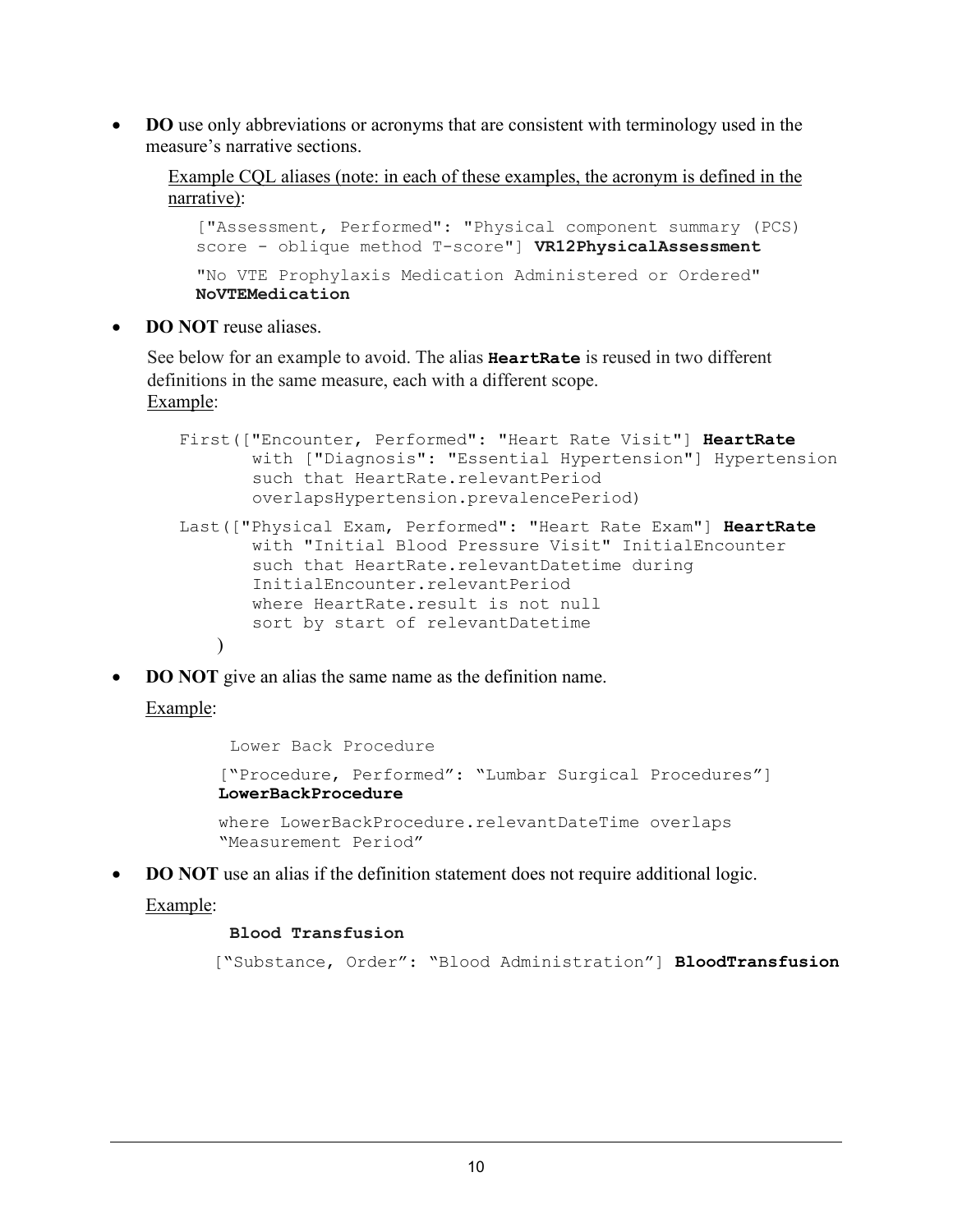• **DO** use only abbreviations or acronyms that are consistent with terminology used in the measure's narrative sections.

Example CQL aliases (note: in each of these examples, the acronym is defined in the narrative):

["Assessment, Performed": "Physical component summary (PCS) score - oblique method T-score"] **VR12PhysicalAssessment** "No VTE Prophylaxis Medication Administered or Ordered" **NoVTEMedication**

**DO NOT** reuse aliases.

See below for an example to avoid. The alias **HeartRate** is reused in two different definitions in the same measure, each with a different scope. Example:

```
First(["Encounter, Performed": "Heart Rate Visit"] HeartRate
       with ["Diagnosis": "Essential Hypertension"] Hypertension 
       such that HeartRate.relevantPeriod 
       overlapsHypertension.prevalencePeriod)
Last(["Physical Exam, Performed": "Heart Rate Exam"] HeartRate
       with "Initial Blood Pressure Visit" InitialEncounter 
       such that HeartRate.relevantDatetime during 
       InitialEncounter.relevantPeriod 
       where HeartRate.result is not null 
       sort by start of relevantDatetime
   \lambda
```
**DO NOT** give an alias the same name as the definition name.

#### Example:

```
Lower Back Procedure
["Procedure, Performed": "Lumbar Surgical Procedures"] 
LowerBackProcedure 
where LowerBackProcedure.relevantDateTime overlaps
"Measurement Period"
```
**DO NOT** use an alias if the definition statement does not require additional logic.

#### Example:

#### **Blood Transfusion**

["Substance, Order": "Blood Administration"] **BloodTransfusion**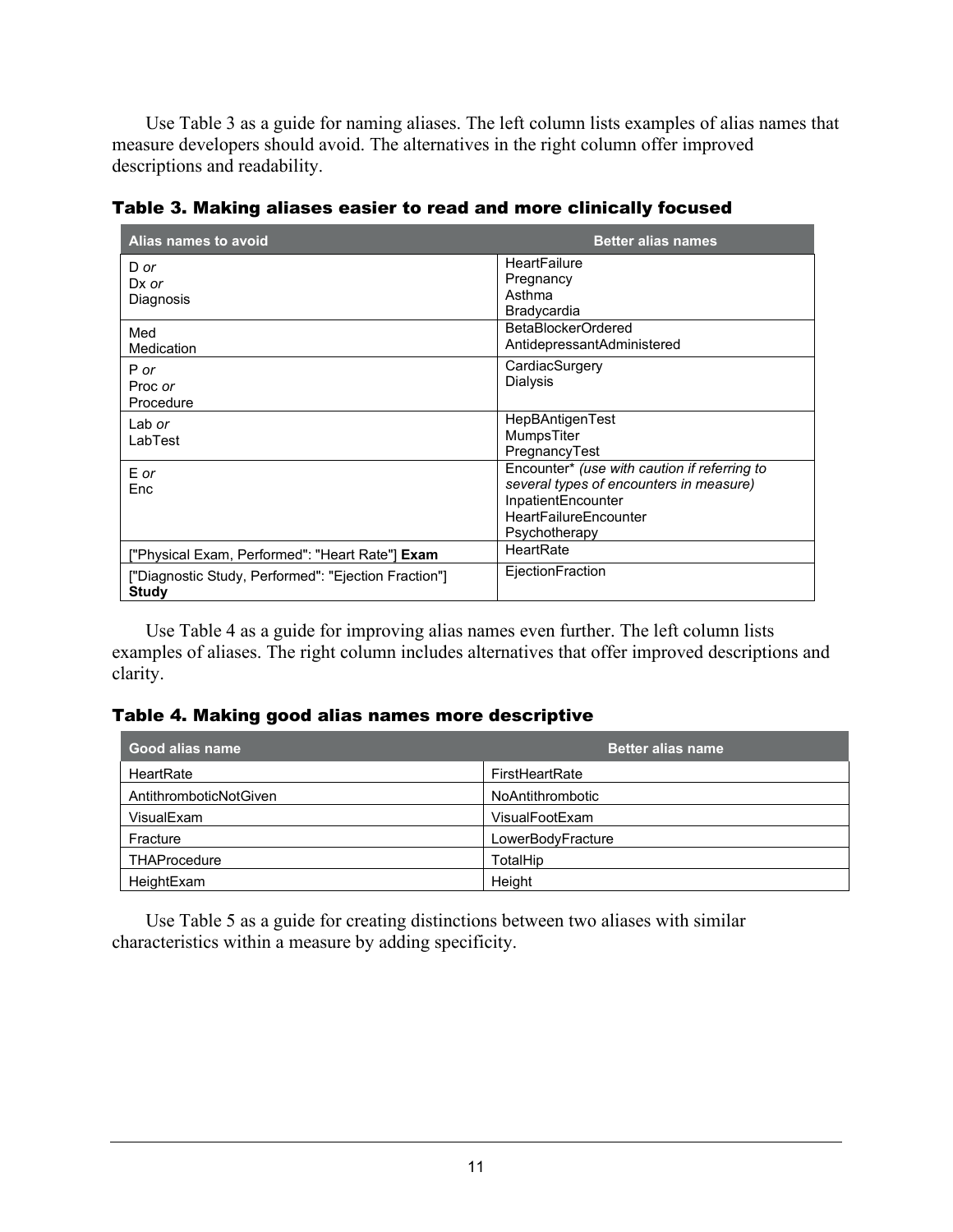Use Table 3 as a guide for naming aliases. The left column lists examples of alias names that measure developers should avoid. The alternatives in the right column offer improved descriptions and readability.

| Alias names to avoid                                          | <b>Better alias names</b>                                                                                                                                      |
|---------------------------------------------------------------|----------------------------------------------------------------------------------------------------------------------------------------------------------------|
| D or<br>$Dx$ or<br>Diagnosis                                  | HeartFailure<br>Pregnancy<br>Asthma<br>Bradycardia                                                                                                             |
| Med<br>Medication                                             | BetaBlockerOrdered<br>AntidepressantAdministered                                                                                                               |
| P or<br>Proc or<br>Procedure                                  | CardiacSurgery<br>Dialysis                                                                                                                                     |
| Lab or<br>LabTest                                             | HepBAntigenTest<br>MumpsTiter<br>PregnancyTest                                                                                                                 |
| E or<br>Enc                                                   | Encounter* (use with caution if referring to<br>several types of encounters in measure)<br>InpatientEncounter<br><b>HeartFailureEncounter</b><br>Psychotherapy |
| ["Physical Exam, Performed": "Heart Rate"] <b>Exam</b>        | HeartRate                                                                                                                                                      |
| ["Diagnostic Study, Performed": "Ejection Fraction"]<br>Study | EjectionFraction                                                                                                                                               |

Table 3. Making aliases easier to read and more clinically focused

Use Table 4 as a guide for improving alias names even further. The left column lists examples of aliases. The right column includes alternatives that offer improved descriptions and clarity.

#### Table 4. Making good alias names more descriptive

| Good alias name        | <b>Better alias name</b> |
|------------------------|--------------------------|
| HeartRate              | FirstHeartRate           |
| AntithromboticNotGiven | <b>NoAntithrombotic</b>  |
| VisualExam             | VisualFootExam           |
| Fracture               | LowerBodyFracture        |
| <b>THAProcedure</b>    | TotalHip                 |
| HeightExam             | Height                   |

Use Table 5 as a guide for creating distinctions between two aliases with similar characteristics within a measure by adding specificity.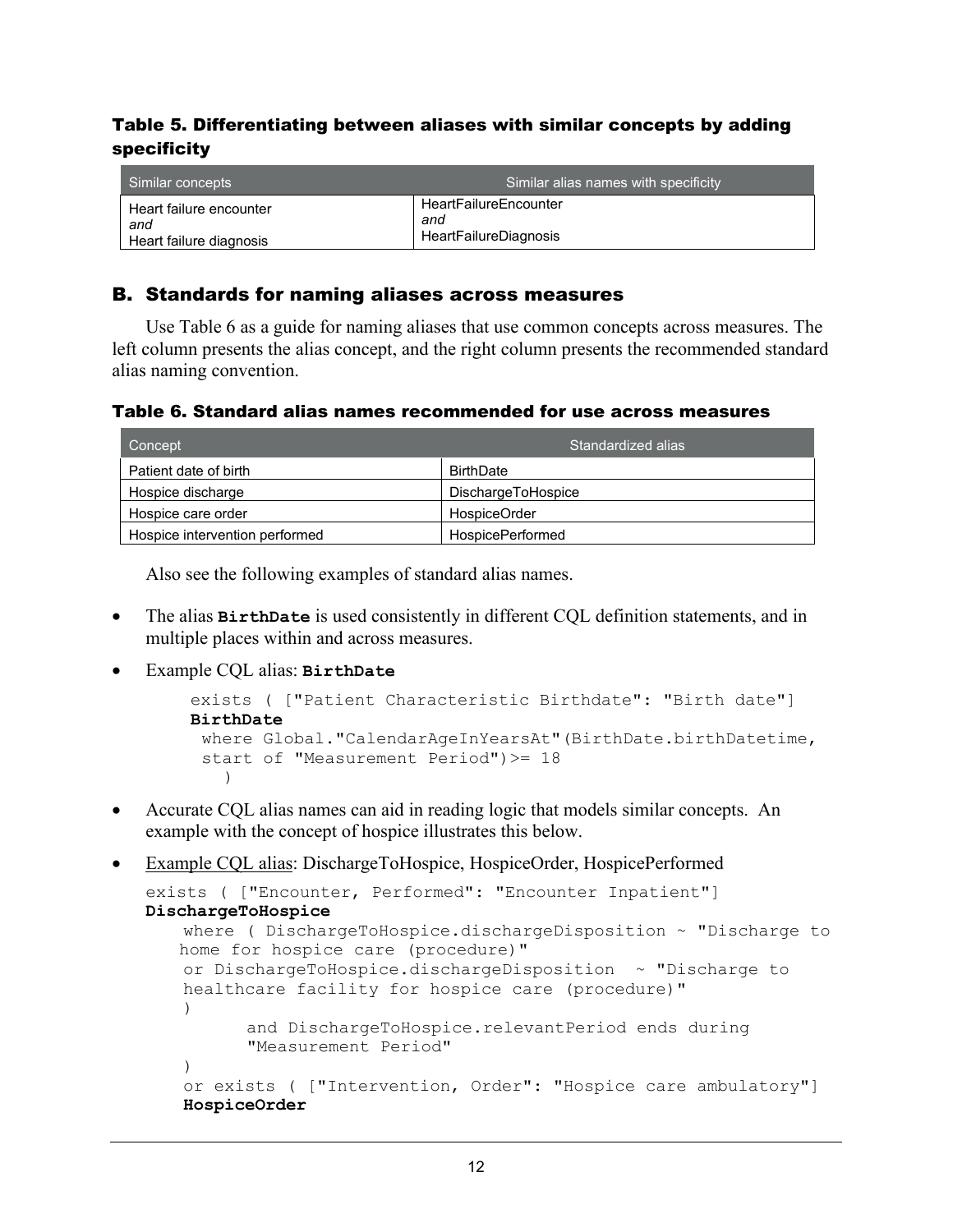## Table 5. Differentiating between aliases with similar concepts by adding specificity

| Similar concepts        | Similar alias names with specificity |
|-------------------------|--------------------------------------|
| Heart failure encounter | <b>HeartFailureEncounter</b>         |
| and                     | and                                  |
| Heart failure diagnosis | HeartFailureDiagnosis                |

## <span id="page-15-0"></span>B. Standards for naming aliases across measures

Use Table 6 as a guide for naming aliases that use common concepts across measures. The left column presents the alias concept, and the right column presents the recommended standard alias naming convention.

| Table 6. Standard alias names recommended for use across measures |  |  |
|-------------------------------------------------------------------|--|--|
|-------------------------------------------------------------------|--|--|

| Concept                        | Standardized alias        |
|--------------------------------|---------------------------|
| Patient date of birth          | <b>BirthDate</b>          |
| Hospice discharge              | <b>DischargeToHospice</b> |
| Hospice care order             | HospiceOrder              |
| Hospice intervention performed | <b>HospicePerformed</b>   |

Also see the following examples of standard alias names.

- The alias **BirthDate** is used consistently in different CQL definition statements, and in multiple places within and across measures.
- Example CQL alias: **BirthDate**

```
exists ( ["Patient Characteristic Birthdate": "Birth date"] 
BirthDate
 where Global."CalendarAgeInYearsAt"(BirthDate.birthDatetime, 
 start of "Measurement Period")>= 18
\overline{\phantom{a}}
```
- Accurate CQL alias names can aid in reading logic that models similar concepts. An example with the concept of hospice illustrates this below.
- Example CQL alias: DischargeToHospice, HospiceOrder, HospicePerformed

```
exists ( ["Encounter, Performed": "Encounter Inpatient"] 
DischargeToHospice 
   where ( DischargeToHospice.dischargeDisposition ~ "Discharge to
   home for hospice care (procedure)"
   or DischargeToHospice.dischargeDisposition ~ "Discharge to 
   healthcare facility for hospice care (procedure)"
   \left( \right)and DischargeToHospice.relevantPeriod ends during 
          "Measurement Period"
    \lambdaor exists ( ["Intervention, Order": "Hospice care ambulatory"] 
   HospiceOrder
```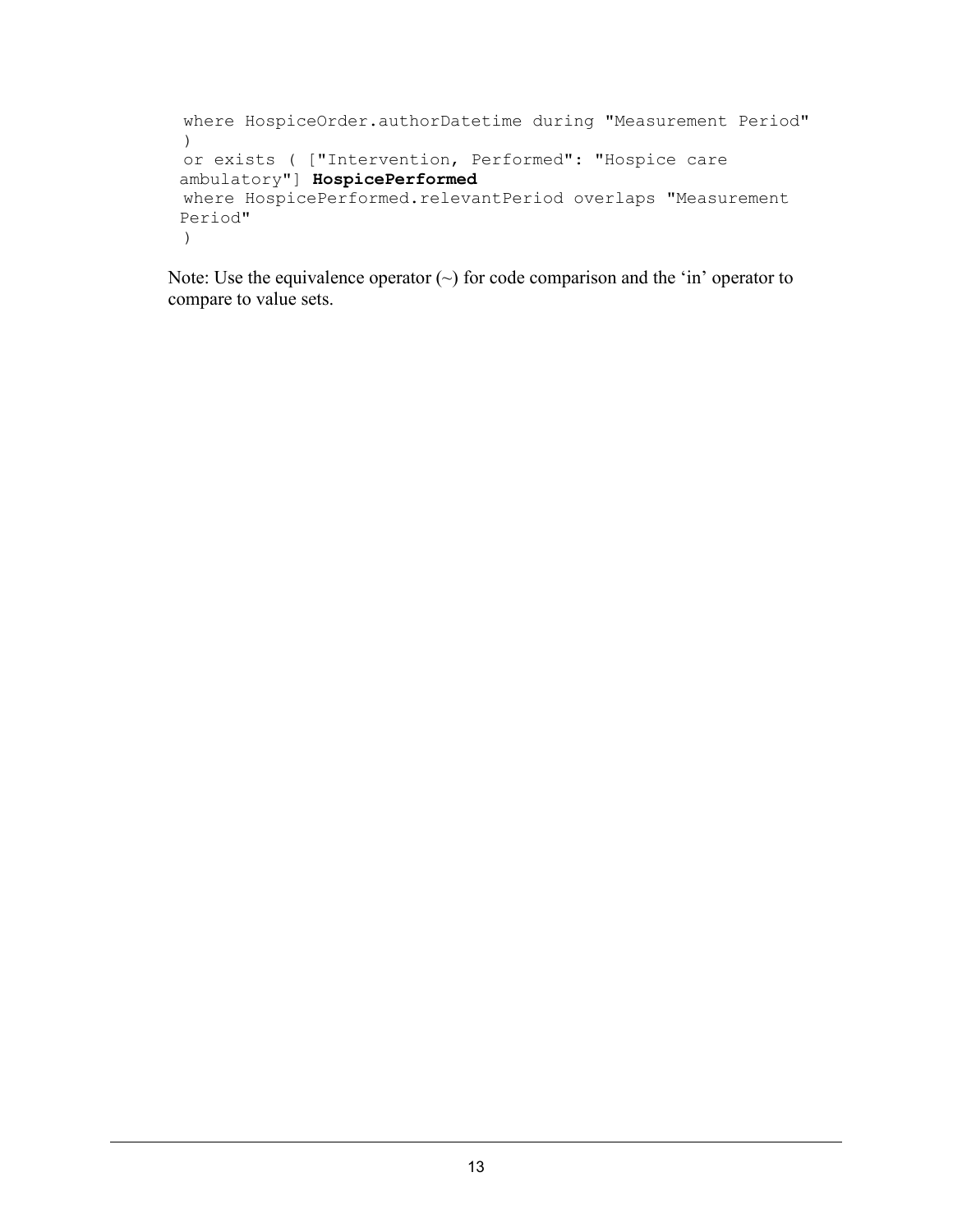```
where HospiceOrder.authorDatetime during "Measurement Period"
 ) 
or exists ( ["Intervention, Performed": "Hospice care 
ambulatory"] HospicePerformed
where HospicePerformed.relevantPeriod overlaps "Measurement 
Period"
 )
```
Note: Use the equivalence operator  $(\sim)$  for code comparison and the 'in' operator to compare to value sets.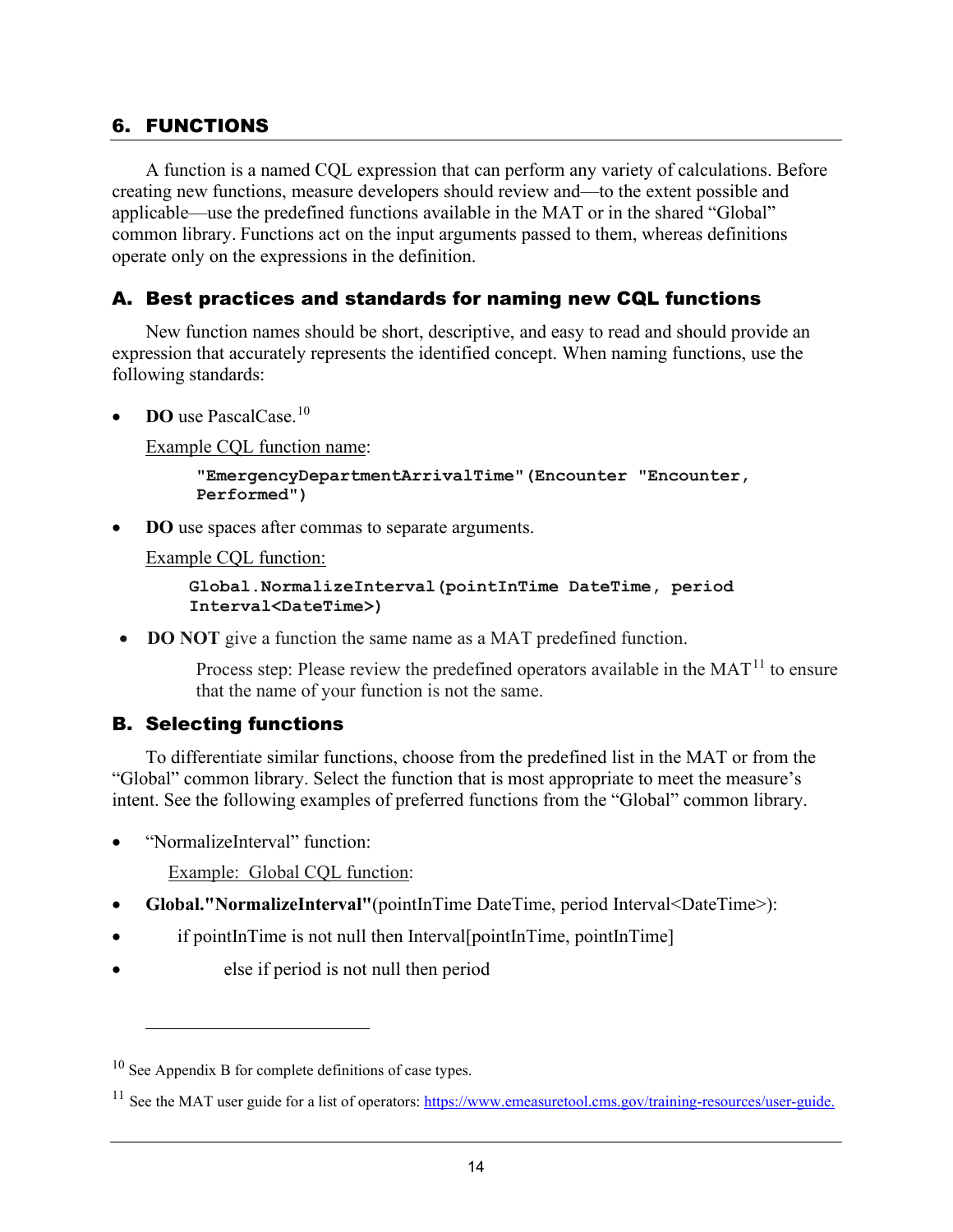## <span id="page-17-0"></span>6. FUNCTIONS

A function is a named CQL expression that can perform any variety of calculations. Before creating new functions, measure developers should review and—to the extent possible and applicable—use the predefined functions available in the MAT or in the shared "Global" common library. Functions act on the input arguments passed to them, whereas definitions operate only on the expressions in the definition.

## <span id="page-17-1"></span>A. Best practices and standards for naming new CQL functions

New function names should be short, descriptive, and easy to read and should provide an expression that accurately represents the identified concept. When naming functions, use the following standards:

**DO** use PascalCase.<sup>[10](#page-17-3)</sup>

Example CQL function name:

```
"EmergencyDepartmentArrivalTime"(Encounter "Encounter, 
Performed")
```
**DO** use spaces after commas to separate arguments.

Example CQL function:

**Global.NormalizeInterval(pointInTime DateTime, period Interval<DateTime>)**

• **DO NOT** give a function the same name as a MAT predefined function.

Process step: Please review the predefined operators available in the  $MAT<sup>11</sup>$  to ensure that the name of your function is not the same.

#### <span id="page-17-2"></span>B. Selecting functions

To differentiate similar functions, choose from the predefined list in the MAT or from the "Global" common library. Select the function that is most appropriate to meet the measure's intent. See the following examples of preferred functions from the "Global" common library.

• "NormalizeInterval" function:

Example: Global CQL function:

- **Global."NormalizeInterval"**(pointInTime DateTime, period Interval<DateTime>):
- if pointInTime is not null then Interval[pointInTime, pointInTime]
- else if period is not null then period

<span id="page-17-3"></span> $10$  See Appendix B for complete definitions of case types.

<span id="page-17-4"></span><sup>&</sup>lt;sup>11</sup> See the MAT user guide for a list of operators: [https://www.emeasuretool.cms.gov/training-resources/user-guide.](https://www.emeasuretool.cms.gov/training-resources/user-guide)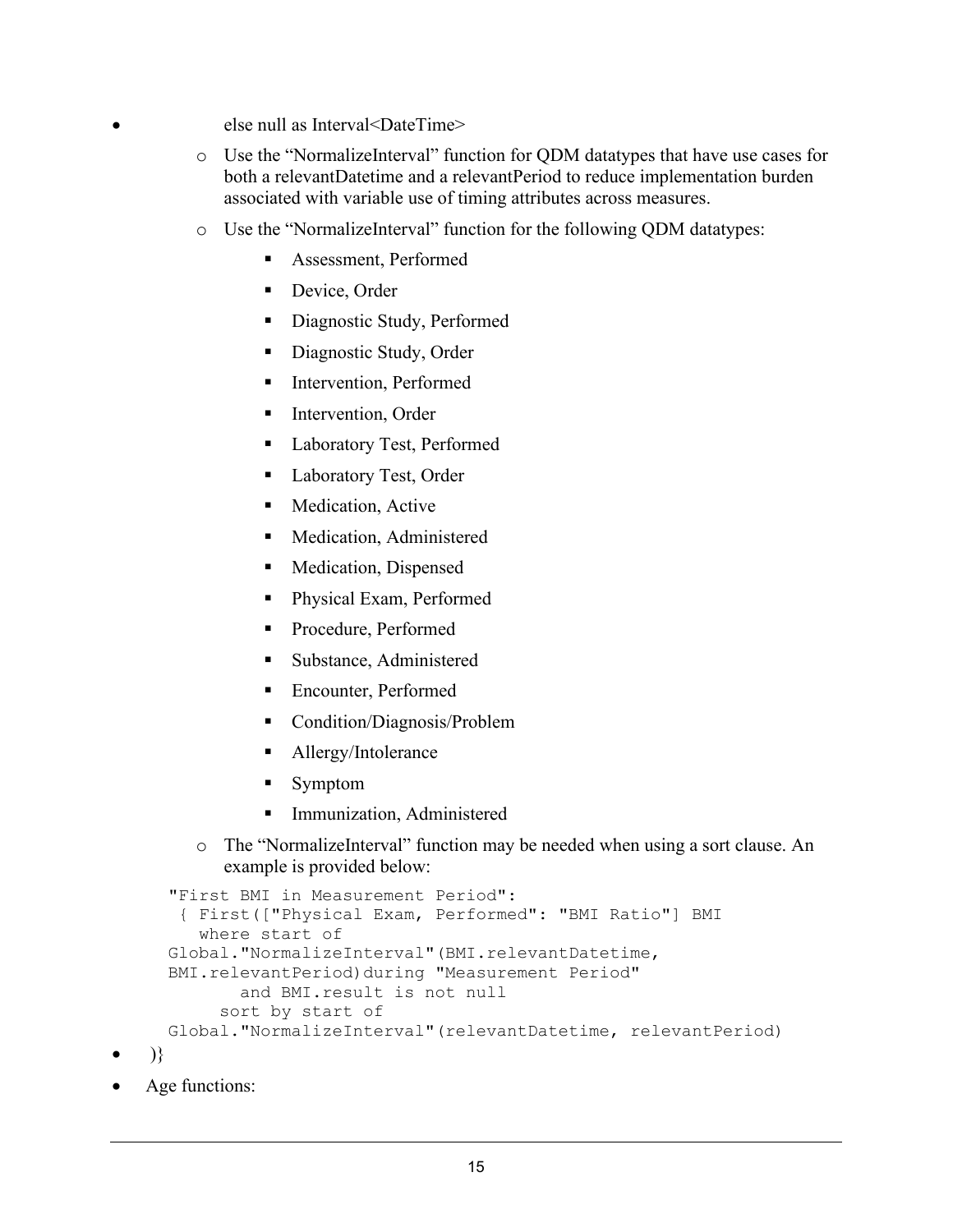- else null as Interval<DateTime>
	- o Use the "NormalizeInterval" function for QDM datatypes that have use cases for both a relevantDatetime and a relevantPeriod to reduce implementation burden associated with variable use of timing attributes across measures.
	- o Use the "NormalizeInterval" function for the following QDM datatypes:
		- Assessment, Performed
		- Device, Order
		- Diagnostic Study, Performed
		- Diagnostic Study, Order
		- **Intervention, Performed**
		- **Intervention, Order**
		- **Laboratory Test, Performed**
		- Laboratory Test, Order
		- Medication, Active
		- **Medication, Administered**
		- **Medication, Dispensed**
		- Physical Exam, Performed
		- Procedure, Performed
		- Substance, Administered
		- Encounter, Performed
		- Condition/Diagnosis/Problem
		- **Allergy/Intolerance**
		- **Symptom**
		- Immunization, Administered
	- o The "NormalizeInterval" function may be needed when using a sort clause. An example is provided below:

```
"First BMI in Measurement Period":
 { First(["Physical Exam, Performed": "BMI Ratio"] BMI
   where start of 
Global."NormalizeInterval"(BMI.relevantDatetime, 
BMI.relevantPeriod)during "Measurement Period"
        and BMI.result is not null
      sort by start of
Global."NormalizeInterval"(relevantDatetime, relevantPeriod)
```
- )}
- Age functions: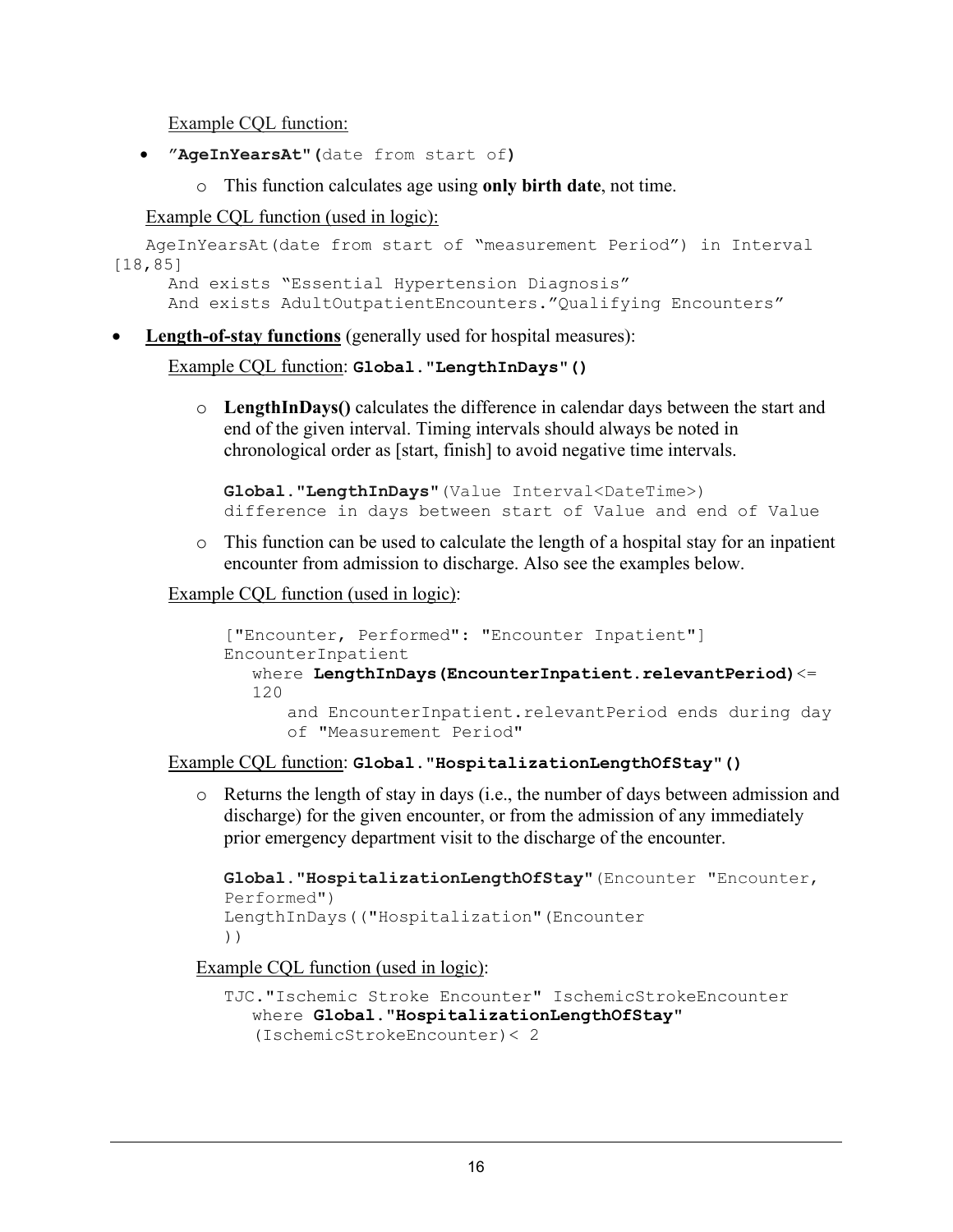Example CQL function:

- **"AgeInYearsAt**"**(**date from start of**)** 
	- o This function calculates age using **only birth date**, not time.

Example CQL function (used in logic):

```
AgeInYearsAt(date from start of "measurement Period") in Interval 
[18,85]
    And exists "Essential Hypertension Diagnosis"
     And exists AdultOutpatientEncounters."Qualifying Encounters"
```
• **Length-of-stay functions** (generally used for hospital measures):

```
Example CQL function: Global."LengthInDays"()
```
o **LengthInDays()** calculates the difference in calendar days between the start and end of the given interval. Timing intervals should always be noted in chronological order as [start, finish] to avoid negative time intervals.

```
Global."LengthInDays"(Value Interval<DateTime>) 
difference in days between start of Value and end of Value
```
o This function can be used to calculate the length of a hospital stay for an inpatient encounter from admission to discharge. Also see the examples below.

Example CQL function (used in logic):

```
["Encounter, Performed": "Encounter Inpatient"] 
EncounterInpatient
  where LengthInDays(EncounterInpatient.relevantPeriod)<= 
  120
      and EncounterInpatient.relevantPeriod ends during day 
      of "Measurement Period"
```
Example CQL function: **Global.**"**HospitalizationLengthOfStay**"**()**

o Returns the length of stay in days (i.e., the number of days between admission and discharge) for the given encounter, or from the admission of any immediately prior emergency department visit to the discharge of the encounter.

```
Global."HospitalizationLengthOfStay"(Encounter "Encounter, 
Performed")
LengthInDays(("Hospitalization"(Encounter
))
```
Example CQL function (used in logic):

```
TJC."Ischemic Stroke Encounter" IschemicStrokeEncounter
  where Global."HospitalizationLengthOfStay" 
  (IschemicStrokeEncounter)< 2
```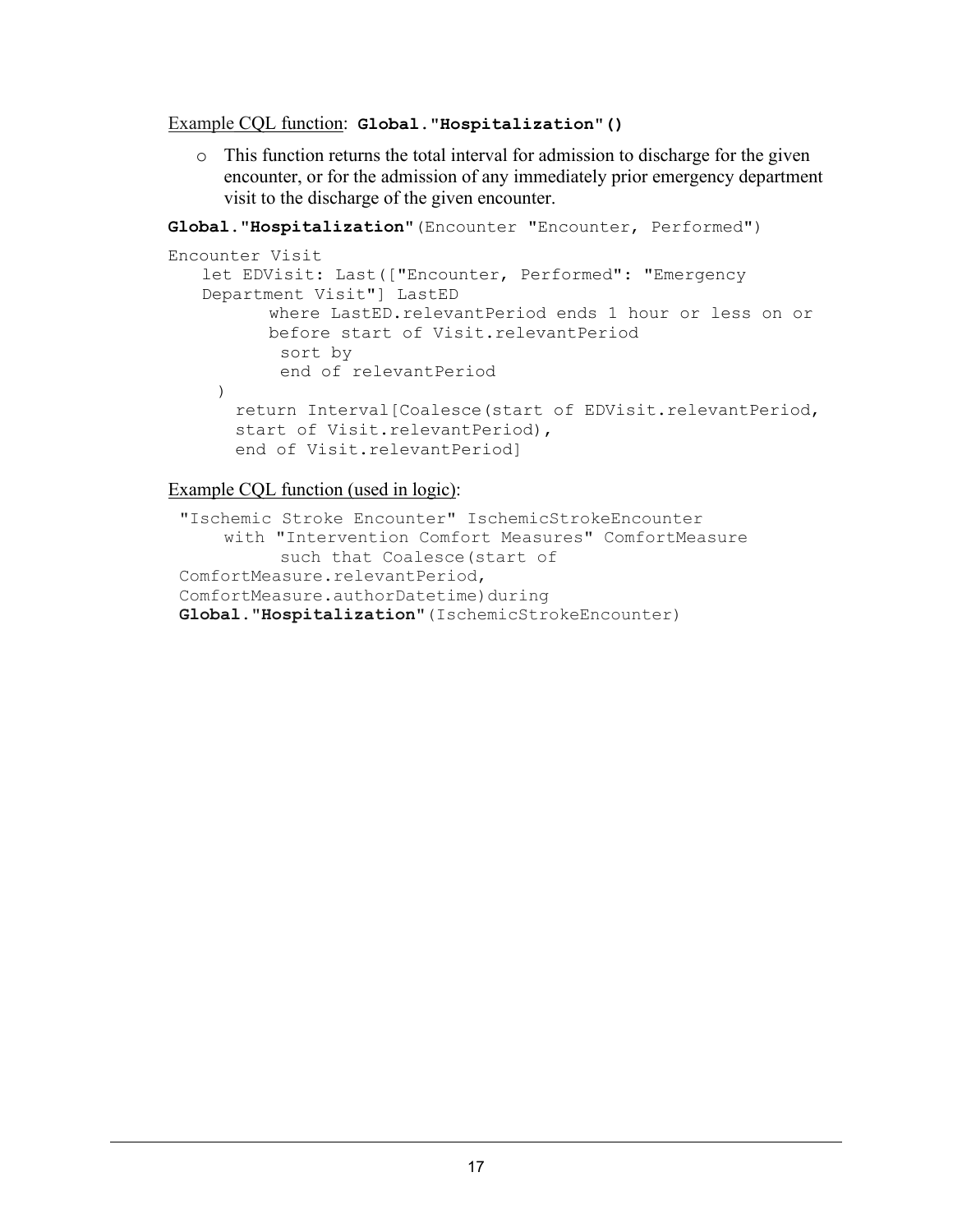#### Example CQL function: **Global.**"**Hospitalization**"**()**

 $\circ$  This function returns the total interval for admission to discharge for the given encounter, or for the admission of any immediately prior emergency department visit to the discharge of the given encounter.

**Global.**"**Hospitalization**"(Encounter "Encounter, Performed")

```
Encounter Visit
   let EDVisit: Last(["Encounter, Performed": "Emergency 
   Department Visit"] LastED
         where LastED.relevantPeriod ends 1 hour or less on or 
         before start of Visit.relevantPeriod
           sort by 
           end of relevantPeriod
    ) 
      return Interval[Coalesce(start of EDVisit.relevantPeriod,
      start of Visit.relevantPeriod),
      end of Visit.relevantPeriod]
```
Example CQL function (used in logic):

```
"Ischemic Stroke Encounter" IschemicStrokeEncounter
    with "Intervention Comfort Measures" ComfortMeasure
           such that Coalesce(start of 
ComfortMeasure.relevantPeriod,
ComfortMeasure.authorDatetime)during
Global."Hospitalization"(IschemicStrokeEncounter)
```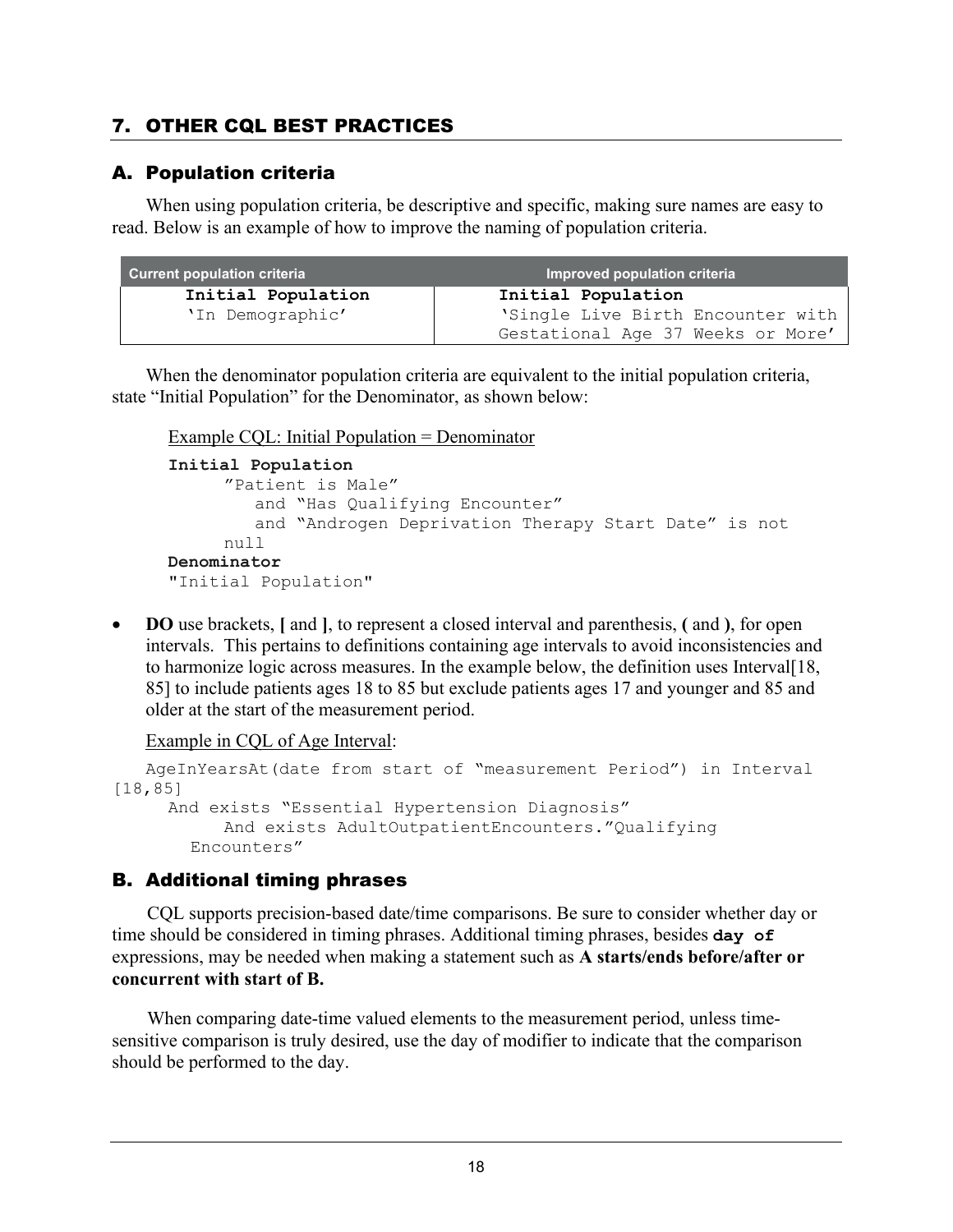# <span id="page-21-0"></span>7. OTHER CQL BEST PRACTICES

## <span id="page-21-1"></span>A. Population criteria

When using population criteria, be descriptive and specific, making sure names are easy to read. Below is an example of how to improve the naming of population criteria.

| <b>Current population criteria</b> | Improved population criteria                                           |
|------------------------------------|------------------------------------------------------------------------|
| Initial Population                 | Initial Population                                                     |
| 'In Demographic'                   | 'Single Live Birth Encounter with<br>Gestational Age 37 Weeks or More' |

When the denominator population criteria are equivalent to the initial population criteria, state "Initial Population" for the Denominator, as shown below:

Example CQL: Initial Population = Denominator

```
Initial Population 
     "Patient is Male"
         and "Has Qualifying Encounter"
         and "Androgen Deprivation Therapy Start Date" is not 
     null
Denominator 
"Initial Population"
```
• **DO** use brackets, **[** and **]**, to represent a closed interval and parenthesis, **(** and **)**, for open intervals. This pertains to definitions containing age intervals to avoid inconsistencies and to harmonize logic across measures. In the example below, the definition uses Interval[18, 85] to include patients ages 18 to 85 but exclude patients ages 17 and younger and 85 and older at the start of the measurement period.

Example in CQL of Age Interval:

```
AgeInYearsAt(date from start of "measurement Period") in Interval 
[18,85]
     And exists "Essential Hypertension Diagnosis"
           And exists AdultOutpatientEncounters."Qualifying 
       Encounters"
```
## <span id="page-21-2"></span>B. Additional timing phrases

CQL supports precision-based date/time comparisons. Be sure to consider whether day or time should be considered in timing phrases. Additional timing phrases, besides **day of** expressions, may be needed when making a statement such as **A starts/ends before/after or concurrent with start of B.**

When comparing date-time valued elements to the measurement period, unless timesensitive comparison is truly desired, use the day of modifier to indicate that the comparison should be performed to the day.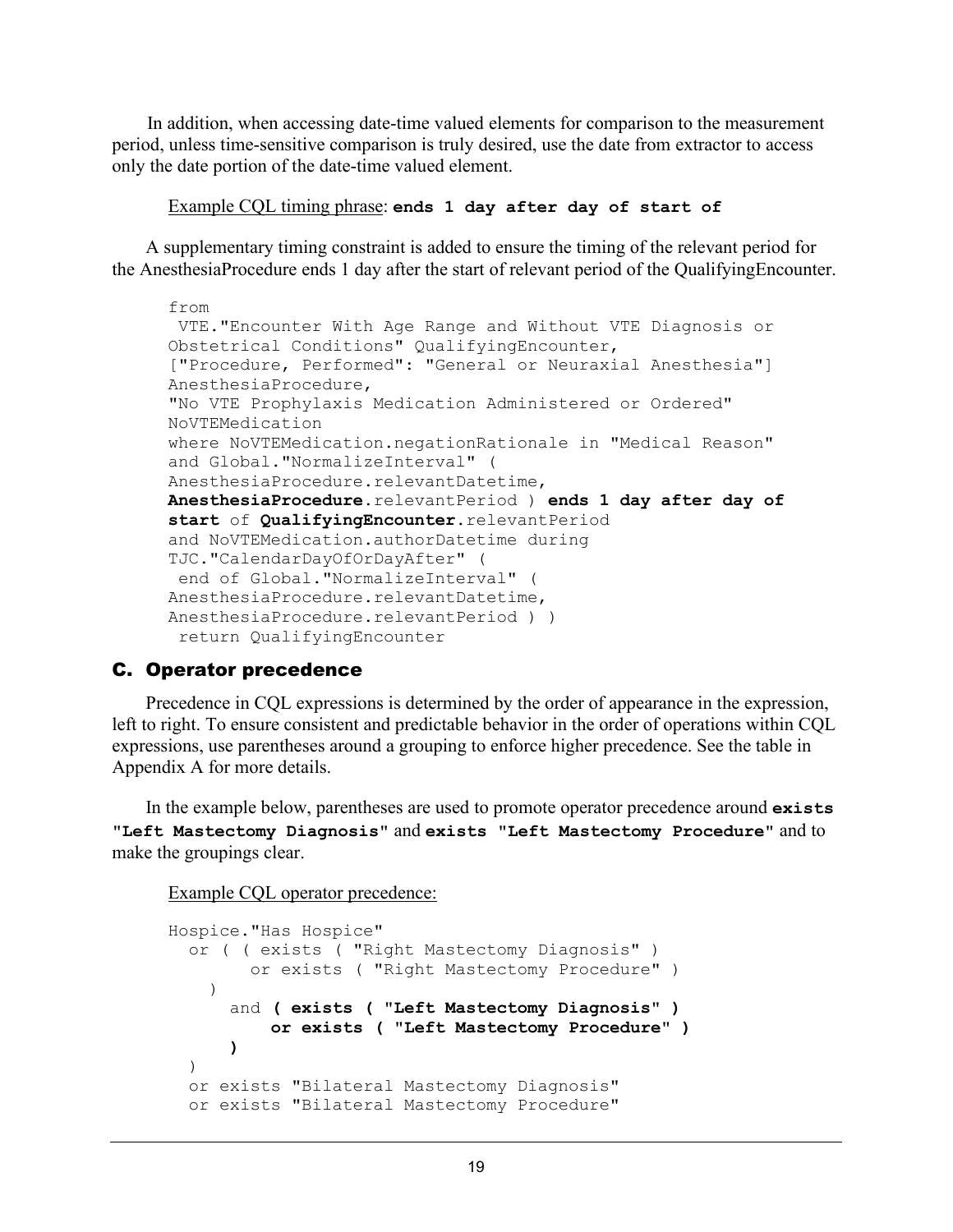In addition, when accessing date-time valued elements for comparison to the measurement period, unless time-sensitive comparison is truly desired, use the date from extractor to access only the date portion of the date-time valued element.

Example CQL timing phrase: **ends 1 day after day of start of**

A supplementary timing constraint is added to ensure the timing of the relevant period for the AnesthesiaProcedure ends 1 day after the start of relevant period of the QualifyingEncounter.

```
from
VTE."Encounter With Age Range and Without VTE Diagnosis or 
Obstetrical Conditions" QualifyingEncounter,
["Procedure, Performed": "General or Neuraxial Anesthesia"] 
AnesthesiaProcedure,
"No VTE Prophylaxis Medication Administered or Ordered" 
NoVTEMedication
where NoVTEMedication.negationRationale in "Medical Reason"
and Global."NormalizeInterval" ( 
AnesthesiaProcedure.relevantDatetime,
AnesthesiaProcedure.relevantPeriod ) ends 1 day after day of 
start of QualifyingEncounter.relevantPeriod
and NoVTEMedication.authorDatetime during 
TJC."CalendarDayOfOrDayAfter" ( 
end of Global."NormalizeInterval" ( 
AnesthesiaProcedure.relevantDatetime,
AnesthesiaProcedure.relevantPeriod ) )
 return QualifyingEncounter
```
## <span id="page-22-0"></span>C. Operator precedence

Precedence in CQL expressions is determined by the order of appearance in the expression, left to right. To ensure consistent and predictable behavior in the order of operations within CQL expressions, use parentheses around a grouping to enforce higher precedence. See the table in Appendix A for more details.

In the example below, parentheses are used to promote operator precedence around **exists "Left Mastectomy Diagnosis"** and **exists "Left Mastectomy Procedure"** and to make the groupings clear.

Example CQL operator precedence:

```
Hospice."Has Hospice"
   or ( ( exists ( "Right Mastectomy Diagnosis" )
         or exists ( "Right Mastectomy Procedure" )
     ) 
       and ( exists ( "Left Mastectomy Diagnosis" )
           or exists ( "Left Mastectomy Procedure" )
 ) 
  \lambda or exists "Bilateral Mastectomy Diagnosis"
  or exists "Bilateral Mastectomy Procedure"
```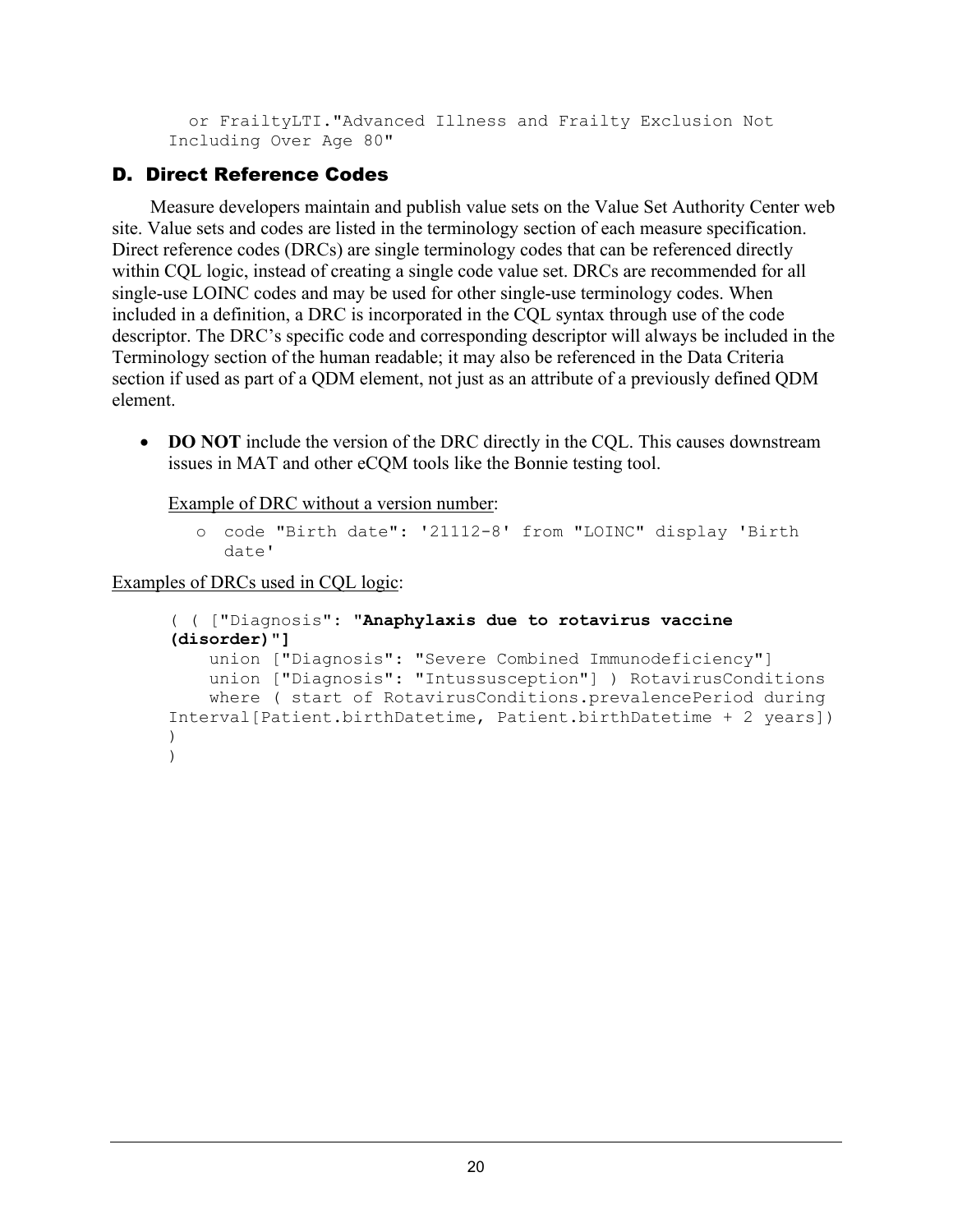or FrailtyLTI."Advanced Illness and Frailty Exclusion Not Including Over Age 80"

## <span id="page-23-0"></span>D. Direct Reference Codes

 Measure developers maintain and publish value sets on the Value Set Authority Center web site. Value sets and codes are listed in the terminology section of each measure specification. Direct reference codes (DRCs) are single terminology codes that can be referenced directly within CQL logic, instead of creating a single code value set. DRCs are recommended for all single-use LOINC codes and may be used for other single-use terminology codes. When included in a definition, a DRC is incorporated in the CQL syntax through use of the code descriptor. The DRC's specific code and corresponding descriptor will always be included in the Terminology section of the human readable; it may also be referenced in the Data Criteria section if used as part of a QDM element, not just as an attribute of a previously defined QDM element.

• **DO NOT** include the version of the DRC directly in the CQL. This causes downstream issues in MAT and other eCQM tools like the Bonnie testing tool.

Example of DRC without a version number:

o code "Birth date": '21112-8' from "LOINC" display 'Birth date'

Examples of DRCs used in CQL logic:

```
( ( ["Diagnosis": "Anaphylaxis due to rotavirus vaccine 
(disorder)"]
     union ["Diagnosis": "Severe Combined Immunodeficiency"]
     union ["Diagnosis": "Intussusception"] ) RotavirusConditions
     where ( start of RotavirusConditions.prevalencePeriod during 
Interval[Patient.birthDatetime, Patient.birthDatetime + 2 years])
) 
)
```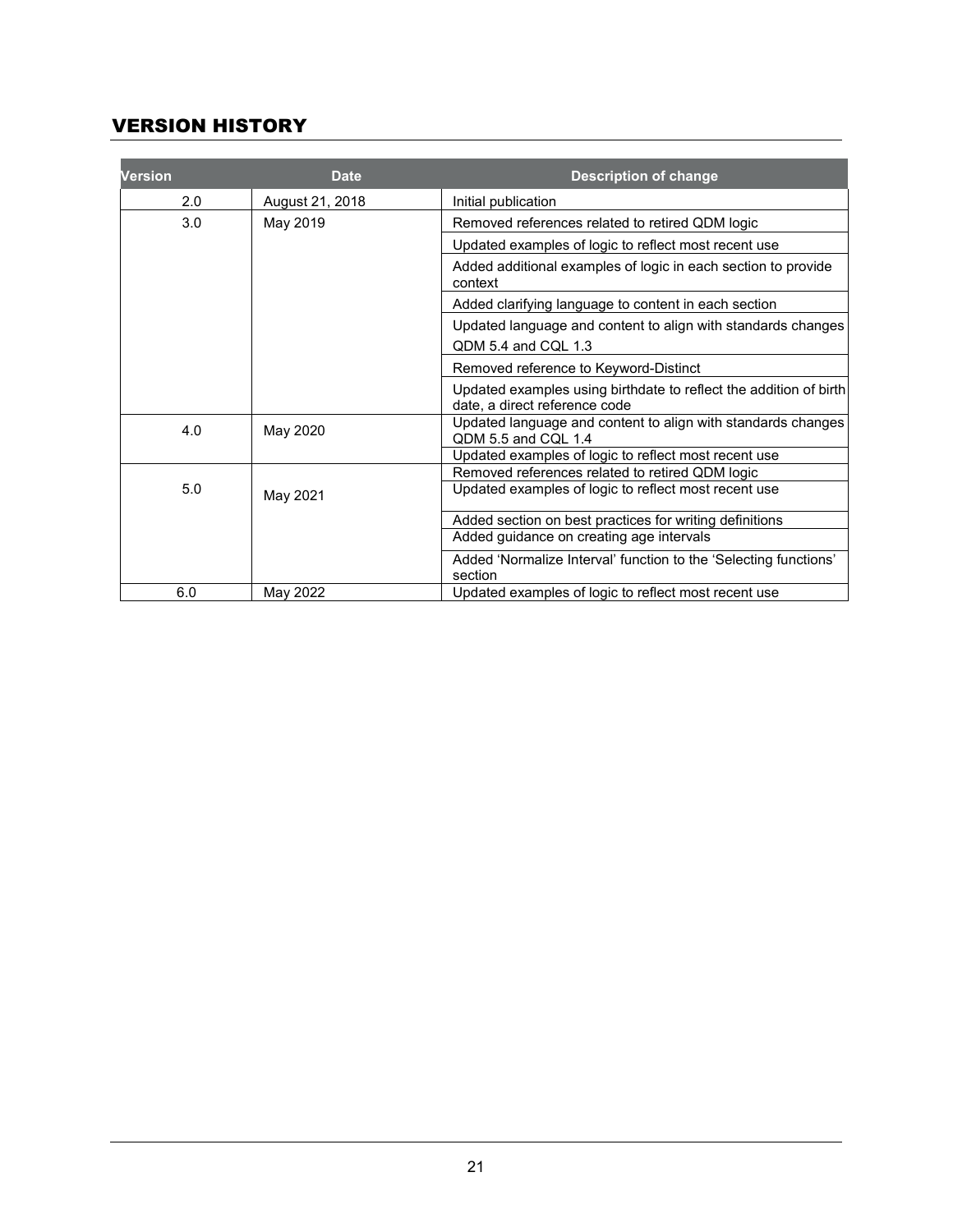# <span id="page-24-0"></span>VERSION HISTORY

| <b>Version</b> | <b>Date</b>     | <b>Description of change</b>                                                                       |
|----------------|-----------------|----------------------------------------------------------------------------------------------------|
| 2.0            | August 21, 2018 | Initial publication                                                                                |
| 3.0            | May 2019        | Removed references related to retired QDM logic                                                    |
|                |                 | Updated examples of logic to reflect most recent use                                               |
|                |                 | Added additional examples of logic in each section to provide<br>context                           |
|                |                 | Added clarifying language to content in each section                                               |
|                |                 | Updated language and content to align with standards changes                                       |
|                |                 | QDM 5.4 and CQL 1.3                                                                                |
|                |                 | Removed reference to Keyword-Distinct                                                              |
|                |                 | Updated examples using birthdate to reflect the addition of birth<br>date, a direct reference code |
| 4.0            | May 2020        | Updated language and content to align with standards changes<br>QDM 5.5 and CQL 1.4                |
|                |                 | Updated examples of logic to reflect most recent use                                               |
|                |                 | Removed references related to retired QDM logic                                                    |
| 5.0            | May 2021        | Updated examples of logic to reflect most recent use                                               |
|                |                 | Added section on best practices for writing definitions                                            |
|                |                 | Added guidance on creating age intervals                                                           |
|                |                 | Added 'Normalize Interval' function to the 'Selecting functions'<br>section                        |
| 6.0            | May 2022        | Updated examples of logic to reflect most recent use                                               |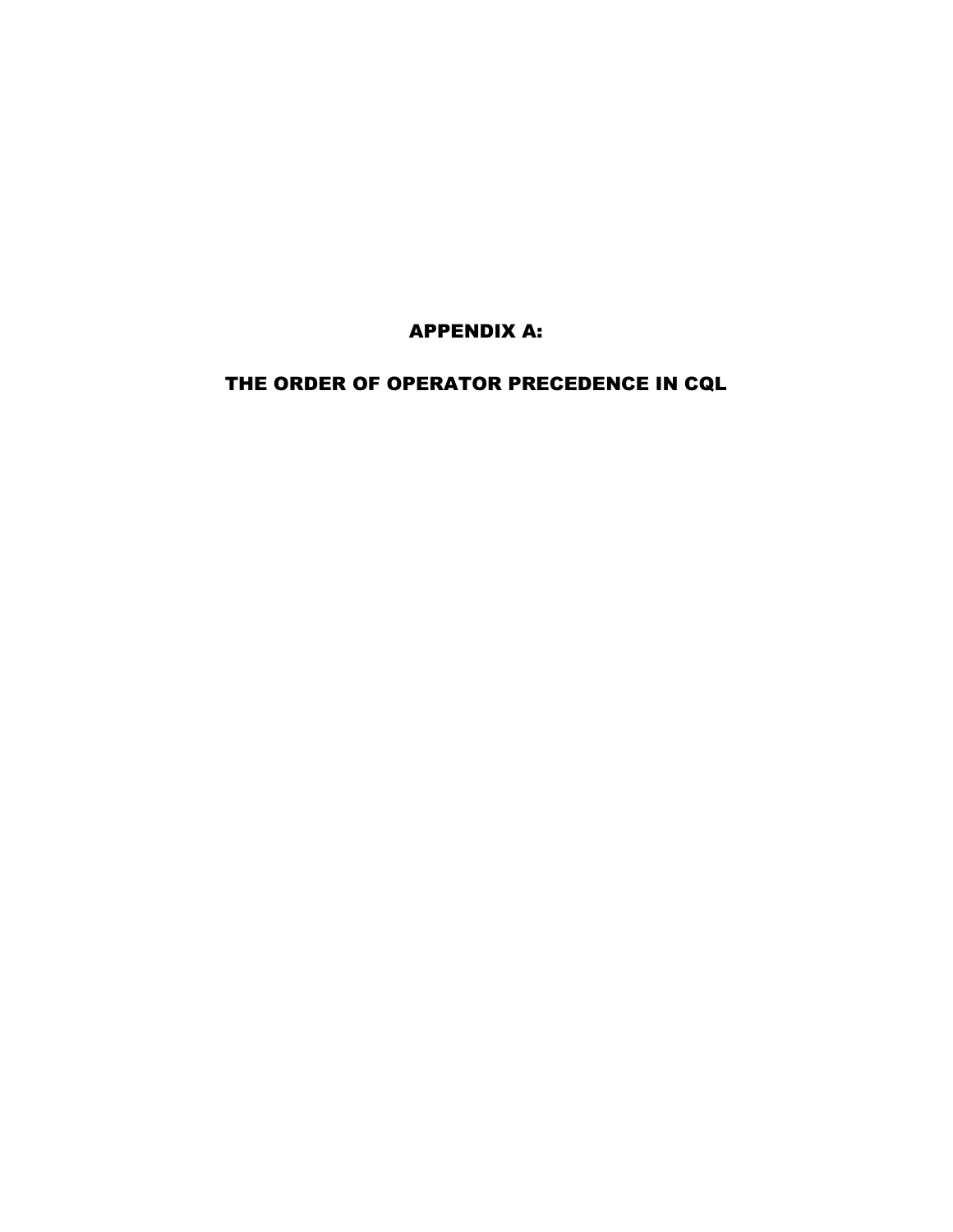APPENDIX A:

<span id="page-26-0"></span>THE ORDER OF OPERATOR PRECEDENCE IN CQL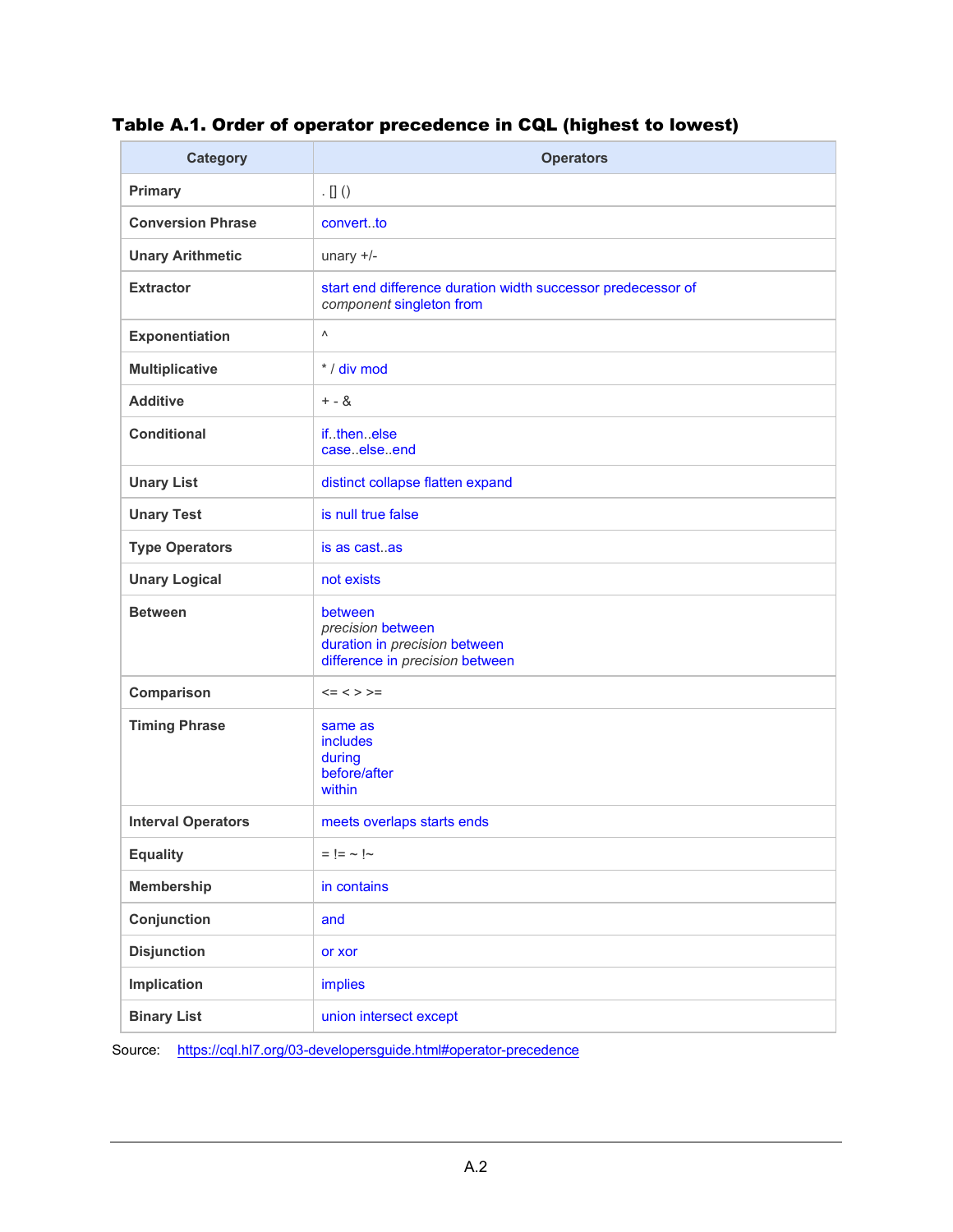# Table A.1. Order of operator precedence in CQL (highest to lowest)

| <b>Category</b>           | <b>Operators</b>                                                                                 |
|---------------------------|--------------------------------------------------------------------------------------------------|
| Primary                   | $\cdot$ [] ()                                                                                    |
| <b>Conversion Phrase</b>  | convertto                                                                                        |
| <b>Unary Arithmetic</b>   | unary $+/-$                                                                                      |
| <b>Extractor</b>          | start end difference duration width successor predecessor of<br>component singleton from         |
| <b>Exponentiation</b>     | Λ                                                                                                |
| <b>Multiplicative</b>     | * / div mod                                                                                      |
| <b>Additive</b>           | $+ - 8$                                                                                          |
| <b>Conditional</b>        | ifthenelse<br>caseelseend                                                                        |
| <b>Unary List</b>         | distinct collapse flatten expand                                                                 |
| <b>Unary Test</b>         | is null true false                                                                               |
| <b>Type Operators</b>     | is as castas                                                                                     |
| <b>Unary Logical</b>      | not exists                                                                                       |
| <b>Between</b>            | between<br>precision between<br>duration in precision between<br>difference in precision between |
| Comparison                | $<=$ < > >=                                                                                      |
| <b>Timing Phrase</b>      | same as<br>includes<br>during<br>before/after<br>within                                          |
| <b>Interval Operators</b> | meets overlaps starts ends                                                                       |
| <b>Equality</b>           | $=$ $=$ $\sim$ $\sim$                                                                            |
| <b>Membership</b>         | in contains                                                                                      |
| Conjunction               | and                                                                                              |
| <b>Disjunction</b>        | or xor                                                                                           |
| Implication               | implies                                                                                          |
| <b>Binary List</b>        | union intersect except                                                                           |

Source: [https://cql.hl7.org/03-developersguide.html#operator-precedenc](https://cql.hl7.org/03-developersguide.html#operator-precedence)e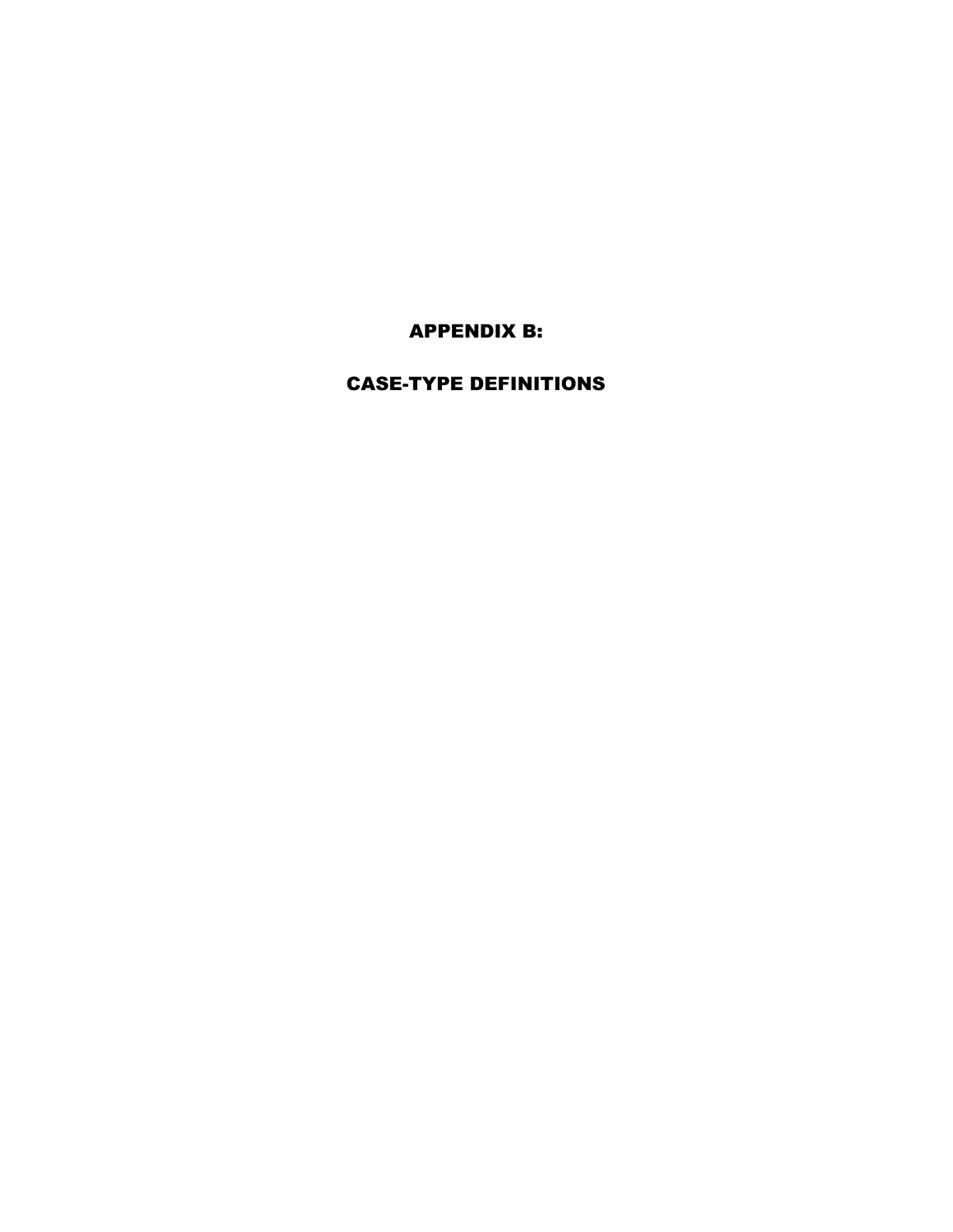APPENDIX B:

# <span id="page-28-0"></span>CASE-TYPE DEFINITIONS